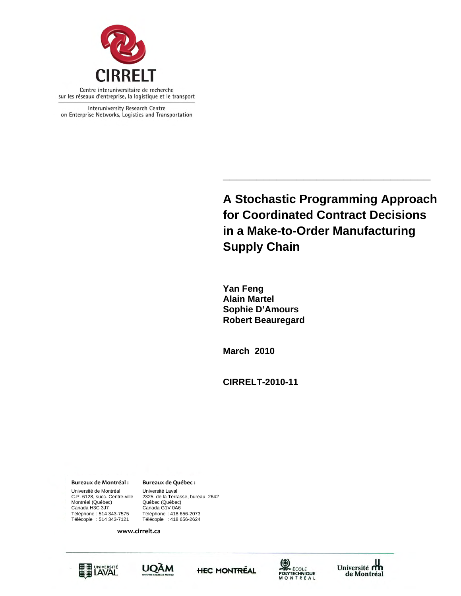

Interuniversity Research Centre on Enterprise Networks, Logistics and Transportation

> **A Stochastic Programming Approach for Coordinated Contract Decisions in a Make-to-Order Manufacturing Supply Chain**

**\_\_\_\_\_\_\_\_\_\_\_\_\_\_\_\_\_\_\_\_\_\_\_\_\_\_\_\_\_\_\_** 

**Yan Feng Alain Martel Sophie D'Amours Robert Beauregard** 

**March 2010** 

**CIRRELT-2010-11** 

**Bureaux de Montréal : Bureaux de Québec :**

Canada H3C 3J7 Canada G1V 0A6 Université de Montréal Université Laval<br>C.P. 6128, succ. Centre-ville 2325, de la Terra Montréal (Québec)<br>Canada H3C 3J7 Téléphone : 514 343-7575 Téléphone : 418 656-2073 Télécopie : 514 343-7121 Télécopie : 418 656-2624

2325, de la Terrasse, bureau 2642<br>Québec (Québec)

**www.cirrelt.ca**









Université **m** de Montréal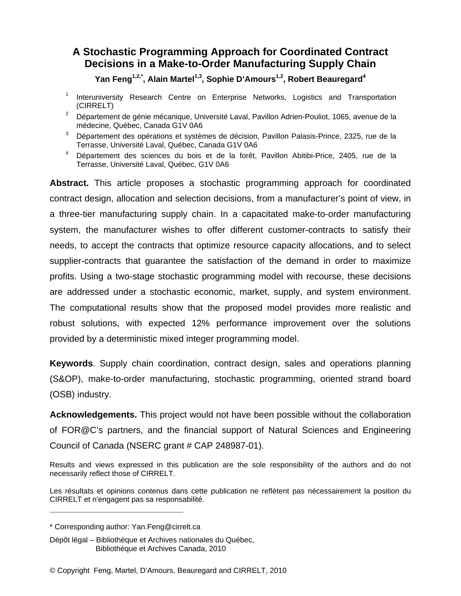# **A Stochastic Programming Approach for Coordinated Contract Decisions in a Make-to-Order Manufacturing Supply Chain**

Yan Feng<sup>1,2,\*</sup>, Alain Martel<sup>1,3</sup>, Sophie D'Amours<sup>1,2</sup>, Robert Beauregard<sup>4</sup>

- 1 Interuniversity Research Centre on Enterprise Networks, Logistics and Transportation (CIRRELT)
- <sup>2</sup> Département de génie mécanique, Université Laval, Pavillon Adrien-Pouliot, 1065, avenue de la médecine, Québec, Canada G1V 0A6
- 3 Département des opérations et systèmes de décision, Pavillon Palasis-Prince, 2325, rue de la Terrasse, Université Laval, Québec, Canada G1V 0A6
- <sup>4</sup> Département des sciences du bois et de la forêt, Pavillon Abitibi-Price, 2405, rue de la Terrasse, Université Laval, Québec, G1V 0A6

**Abstract.** This article proposes a stochastic programming approach for coordinated contract design, allocation and selection decisions, from a manufacturer's point of view, in a three-tier manufacturing supply chain. In a capacitated make-to-order manufacturing system, the manufacturer wishes to offer different customer-contracts to satisfy their needs, to accept the contracts that optimize resource capacity allocations, and to select supplier-contracts that guarantee the satisfaction of the demand in order to maximize profits. Using a two-stage stochastic programming model with recourse, these decisions are addressed under a stochastic economic, market, supply, and system environment. The computational results show that the proposed model provides more realistic and robust solutions, with expected 12% performance improvement over the solutions provided by a deterministic mixed integer programming model.

**Keywords**. Supply chain coordination, contract design, sales and operations planning (S&OP), make-to-order manufacturing, stochastic programming, oriented strand board (OSB) industry.

**Acknowledgements.** This project would not have been possible without the collaboration of FOR@C's partners, and the financial support of Natural Sciences and Engineering Council of Canada (NSERC grant # CAP 248987-01).

Results and views expressed in this publication are the sole responsibility of the authors and do not necessarily reflect those of CIRRELT.

Les résultats et opinions contenus dans cette publication ne reflètent pas nécessairement la position du CIRRELT et n'engagent pas sa responsabilité. **\_\_\_\_\_\_\_\_\_\_\_\_\_\_\_\_\_\_\_\_\_\_\_\_\_\_\_\_\_**

<sup>\*</sup> Corresponding author: Yan.Feng@cirrelt.ca

Dépôt légal – Bibliothèque et Archives nationales du Québec, Bibliothèque et Archives Canada, 2010

<sup>©</sup> Copyright Feng, Martel, D'Amours, Beauregard and CIRRELT, 2010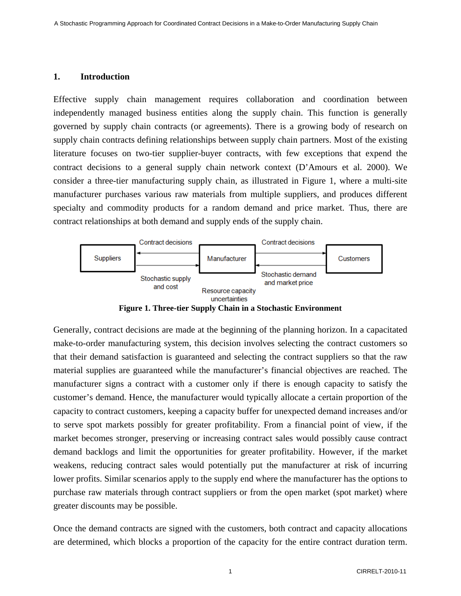### **1. Introduction**

Effective supply chain management requires collaboration and coordination between independently managed business entities along the supply chain. This function is generally governed by supply chain contracts (or agreements). There is a growing body of research on supply chain contracts defining relationships between supply chain partners. Most of the existing literature focuses on two-tier supplier-buyer contracts, with few exceptions that expend the contract decisions to a general supply chain network context (D'Amours et al. 2000). We consider a three-tier manufacturing supply chain, as illustrated in Figure 1, where a multi-site manufacturer purchases various raw materials from multiple suppliers, and produces different specialty and commodity products for a random demand and price market. Thus, there are contract relationships at both demand and supply ends of the supply chain.



**Figure 1. Three-tier Supply Chain in a Stochastic Environment** 

Generally, contract decisions are made at the beginning of the planning horizon. In a capacitated make-to-order manufacturing system, this decision involves selecting the contract customers so that their demand satisfaction is guaranteed and selecting the contract suppliers so that the raw material supplies are guaranteed while the manufacturer's financial objectives are reached. The manufacturer signs a contract with a customer only if there is enough capacity to satisfy the customer's demand. Hence, the manufacturer would typically allocate a certain proportion of the capacity to contract customers, keeping a capacity buffer for unexpected demand increases and/or to serve spot markets possibly for greater profitability. From a financial point of view, if the market becomes stronger, preserving or increasing contract sales would possibly cause contract demand backlogs and limit the opportunities for greater profitability. However, if the market weakens, reducing contract sales would potentially put the manufacturer at risk of incurring lower profits. Similar scenarios apply to the supply end where the manufacturer has the options to purchase raw materials through contract suppliers or from the open market (spot market) where greater discounts may be possible.

Once the demand contracts are signed with the customers, both contract and capacity allocations are determined, which blocks a proportion of the capacity for the entire contract duration term.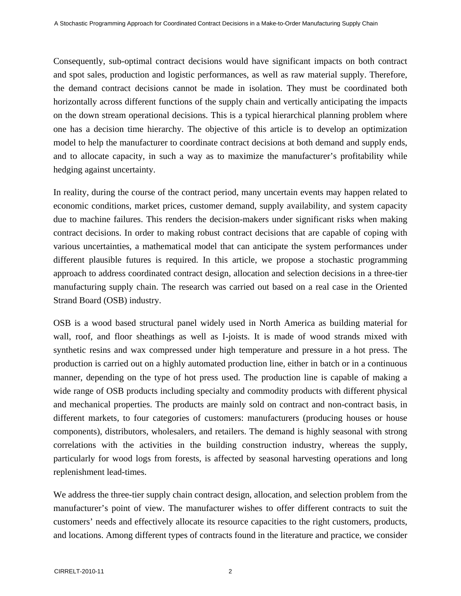Consequently, sub-optimal contract decisions would have significant impacts on both contract and spot sales, production and logistic performances, as well as raw material supply. Therefore, the demand contract decisions cannot be made in isolation. They must be coordinated both horizontally across different functions of the supply chain and vertically anticipating the impacts on the down stream operational decisions. This is a typical hierarchical planning problem where one has a decision time hierarchy. The objective of this article is to develop an optimization model to help the manufacturer to coordinate contract decisions at both demand and supply ends, and to allocate capacity, in such a way as to maximize the manufacturer's profitability while hedging against uncertainty.

In reality, during the course of the contract period, many uncertain events may happen related to economic conditions, market prices, customer demand, supply availability, and system capacity due to machine failures. This renders the decision-makers under significant risks when making contract decisions. In order to making robust contract decisions that are capable of coping with various uncertainties, a mathematical model that can anticipate the system performances under different plausible futures is required. In this article, we propose a stochastic programming approach to address coordinated contract design, allocation and selection decisions in a three-tier manufacturing supply chain. The research was carried out based on a real case in the Oriented Strand Board (OSB) industry.

OSB is a wood based structural panel widely used in North America as building material for wall, roof, and floor sheathings as well as I-joists. It is made of wood strands mixed with synthetic resins and wax compressed under high temperature and pressure in a hot press. The production is carried out on a highly automated production line, either in batch or in a continuous manner, depending on the type of hot press used. The production line is capable of making a wide range of OSB products including specialty and commodity products with different physical and mechanical properties. The products are mainly sold on contract and non-contract basis, in different markets, to four categories of customers: manufacturers (producing houses or house components), distributors, wholesalers, and retailers. The demand is highly seasonal with strong correlations with the activities in the building construction industry, whereas the supply, particularly for wood logs from forests, is affected by seasonal harvesting operations and long replenishment lead-times.

We address the three-tier supply chain contract design, allocation, and selection problem from the manufacturer's point of view. The manufacturer wishes to offer different contracts to suit the customers' needs and effectively allocate its resource capacities to the right customers, products, and locations. Among different types of contracts found in the literature and practice, we consider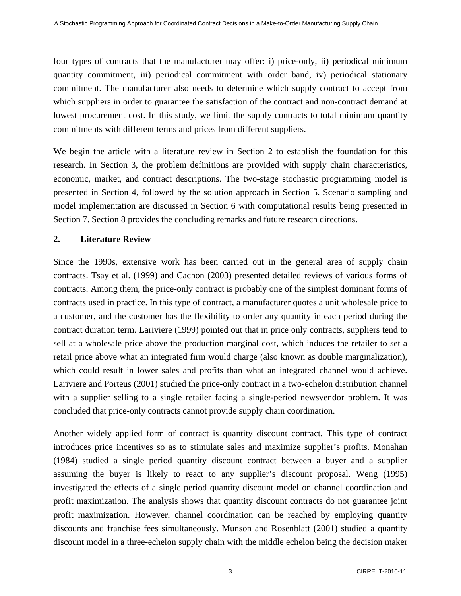four types of contracts that the manufacturer may offer: i) price-only, ii) periodical minimum quantity commitment, iii) periodical commitment with order band, iv) periodical stationary commitment. The manufacturer also needs to determine which supply contract to accept from which suppliers in order to guarantee the satisfaction of the contract and non-contract demand at lowest procurement cost. In this study, we limit the supply contracts to total minimum quantity commitments with different terms and prices from different suppliers.

We begin the article with a literature review in Section 2 to establish the foundation for this research. In Section 3, the problem definitions are provided with supply chain characteristics, economic, market, and contract descriptions. The two-stage stochastic programming model is presented in Section 4, followed by the solution approach in Section 5. Scenario sampling and model implementation are discussed in Section 6 with computational results being presented in Section 7. Section 8 provides the concluding remarks and future research directions.

# **2. Literature Review**

Since the 1990s, extensive work has been carried out in the general area of supply chain contracts. Tsay et al. (1999) and Cachon (2003) presented detailed reviews of various forms of contracts. Among them, the price-only contract is probably one of the simplest dominant forms of contracts used in practice. In this type of contract, a manufacturer quotes a unit wholesale price to a customer, and the customer has the flexibility to order any quantity in each period during the contract duration term. Lariviere (1999) pointed out that in price only contracts, suppliers tend to sell at a wholesale price above the production marginal cost, which induces the retailer to set a retail price above what an integrated firm would charge (also known as double marginalization), which could result in lower sales and profits than what an integrated channel would achieve. Lariviere and Porteus (2001) studied the price-only contract in a two-echelon distribution channel with a supplier selling to a single retailer facing a single-period newsvendor problem. It was concluded that price-only contracts cannot provide supply chain coordination.

Another widely applied form of contract is quantity discount contract. This type of contract introduces price incentives so as to stimulate sales and maximize supplier's profits. Monahan (1984) studied a single period quantity discount contract between a buyer and a supplier assuming the buyer is likely to react to any supplier's discount proposal. Weng (1995) investigated the effects of a single period quantity discount model on channel coordination and profit maximization. The analysis shows that quantity discount contracts do not guarantee joint profit maximization. However, channel coordination can be reached by employing quantity discounts and franchise fees simultaneously. Munson and Rosenblatt (2001) studied a quantity discount model in a three-echelon supply chain with the middle echelon being the decision maker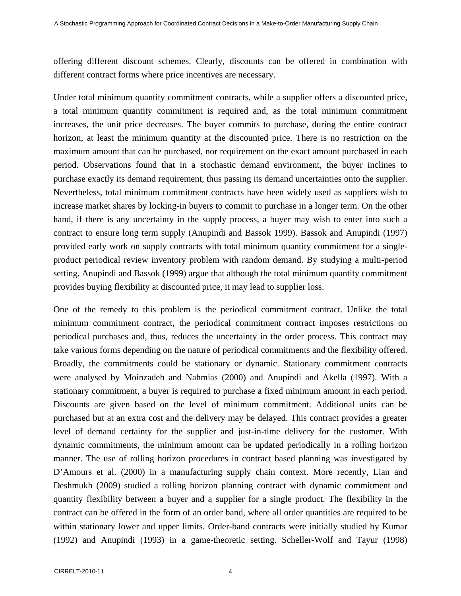offering different discount schemes. Clearly, discounts can be offered in combination with different contract forms where price incentives are necessary.

Under total minimum quantity commitment contracts, while a supplier offers a discounted price, a total minimum quantity commitment is required and, as the total minimum commitment increases, the unit price decreases. The buyer commits to purchase, during the entire contract horizon, at least the minimum quantity at the discounted price. There is no restriction on the maximum amount that can be purchased, nor requirement on the exact amount purchased in each period. Observations found that in a stochastic demand environment, the buyer inclines to purchase exactly its demand requirement, thus passing its demand uncertainties onto the supplier. Nevertheless, total minimum commitment contracts have been widely used as suppliers wish to increase market shares by locking-in buyers to commit to purchase in a longer term. On the other hand, if there is any uncertainty in the supply process, a buyer may wish to enter into such a contract to ensure long term supply (Anupindi and Bassok 1999). Bassok and Anupindi (1997) provided early work on supply contracts with total minimum quantity commitment for a singleproduct periodical review inventory problem with random demand. By studying a multi-period setting, Anupindi and Bassok (1999) argue that although the total minimum quantity commitment provides buying flexibility at discounted price, it may lead to supplier loss.

One of the remedy to this problem is the periodical commitment contract. Unlike the total minimum commitment contract, the periodical commitment contract imposes restrictions on periodical purchases and, thus, reduces the uncertainty in the order process. This contract may take various forms depending on the nature of periodical commitments and the flexibility offered. Broadly, the commitments could be stationary or dynamic. Stationary commitment contracts were analysed by Moinzadeh and Nahmias (2000) and Anupindi and Akella (1997). With a stationary commitment, a buyer is required to purchase a fixed minimum amount in each period. Discounts are given based on the level of minimum commitment. Additional units can be purchased but at an extra cost and the delivery may be delayed. This contract provides a greater level of demand certainty for the supplier and just-in-time delivery for the customer. With dynamic commitments, the minimum amount can be updated periodically in a rolling horizon manner. The use of rolling horizon procedures in contract based planning was investigated by D'Amours et al. (2000) in a manufacturing supply chain context. More recently, Lian and Deshmukh (2009) studied a rolling horizon planning contract with dynamic commitment and quantity flexibility between a buyer and a supplier for a single product. The flexibility in the contract can be offered in the form of an order band, where all order quantities are required to be within stationary lower and upper limits. Order-band contracts were initially studied by Kumar (1992) and Anupindi (1993) in a game-theoretic setting. Scheller-Wolf and Tayur (1998)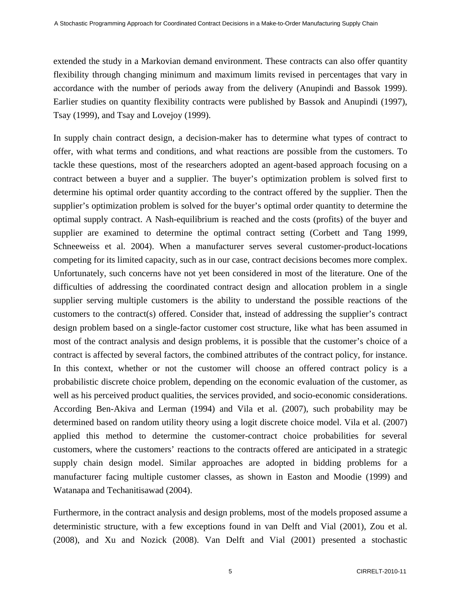extended the study in a Markovian demand environment. These contracts can also offer quantity flexibility through changing minimum and maximum limits revised in percentages that vary in accordance with the number of periods away from the delivery (Anupindi and Bassok 1999). Earlier studies on quantity flexibility contracts were published by Bassok and Anupindi (1997), Tsay (1999), and Tsay and Lovejoy (1999).

In supply chain contract design, a decision-maker has to determine what types of contract to offer, with what terms and conditions, and what reactions are possible from the customers. To tackle these questions, most of the researchers adopted an agent-based approach focusing on a contract between a buyer and a supplier. The buyer's optimization problem is solved first to determine his optimal order quantity according to the contract offered by the supplier. Then the supplier's optimization problem is solved for the buyer's optimal order quantity to determine the optimal supply contract. A Nash-equilibrium is reached and the costs (profits) of the buyer and supplier are examined to determine the optimal contract setting (Corbett and Tang 1999, Schneeweiss et al. 2004). When a manufacturer serves several customer-product-locations competing for its limited capacity, such as in our case, contract decisions becomes more complex. Unfortunately, such concerns have not yet been considered in most of the literature. One of the difficulties of addressing the coordinated contract design and allocation problem in a single supplier serving multiple customers is the ability to understand the possible reactions of the customers to the contract(s) offered. Consider that, instead of addressing the supplier's contract design problem based on a single-factor customer cost structure, like what has been assumed in most of the contract analysis and design problems, it is possible that the customer's choice of a contract is affected by several factors, the combined attributes of the contract policy, for instance. In this context, whether or not the customer will choose an offered contract policy is a probabilistic discrete choice problem, depending on the economic evaluation of the customer, as well as his perceived product qualities, the services provided, and socio-economic considerations. According Ben-Akiva and Lerman (1994) and Vila et al. (2007), such probability may be determined based on random utility theory using a logit discrete choice model. Vila et al. (2007) applied this method to determine the customer-contract choice probabilities for several customers, where the customers' reactions to the contracts offered are anticipated in a strategic supply chain design model. Similar approaches are adopted in bidding problems for a manufacturer facing multiple customer classes, as shown in Easton and Moodie (1999) and Watanapa and Techanitisawad (2004).

Furthermore, in the contract analysis and design problems, most of the models proposed assume a deterministic structure, with a few exceptions found in van Delft and Vial (2001), Zou et al. (2008), and Xu and Nozick (2008). Van Delft and Vial (2001) presented a stochastic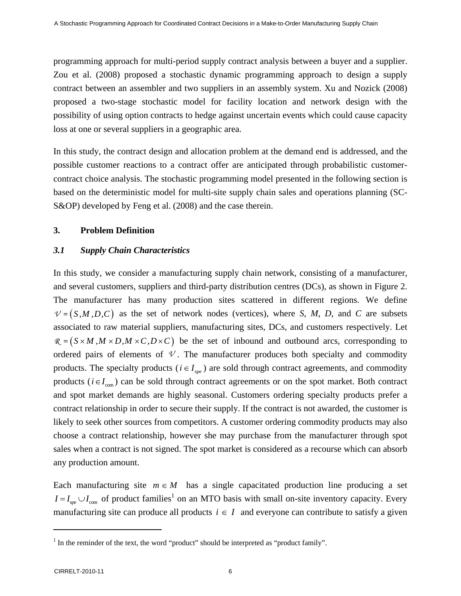programming approach for multi-period supply contract analysis between a buyer and a supplier. Zou et al. (2008) proposed a stochastic dynamic programming approach to design a supply contract between an assembler and two suppliers in an assembly system. Xu and Nozick (2008) proposed a two-stage stochastic model for facility location and network design with the possibility of using option contracts to hedge against uncertain events which could cause capacity loss at one or several suppliers in a geographic area.

In this study, the contract design and allocation problem at the demand end is addressed, and the possible customer reactions to a contract offer are anticipated through probabilistic customercontract choice analysis. The stochastic programming model presented in the following section is based on the deterministic model for multi-site supply chain sales and operations planning (SC-S&OP) developed by Feng et al. (2008) and the case therein.

### **3. Problem Definition**

### *3.1 Supply Chain Characteristics*

In this study, we consider a manufacturing supply chain network, consisting of a manufacturer, and several customers, suppliers and third-party distribution centres (DCs), as shown in Figure 2. The manufacturer has many production sites scattered in different regions. We define  $V = (S, M, D, C)$  as the set of network nodes (vertices), where *S*, *M*, *D*, and *C* are subsets associated to raw material suppliers, manufacturing sites, DCs, and customers respectively. Let  $R = (S \times M, M \times D, M \times C, D \times C)$  be the set of inbound and outbound arcs, corresponding to ordered pairs of elements of  $\mathcal V$ . The manufacturer produces both specialty and commodity products. The specialty products ( $i \in I_{\text{one}}$ ) are sold through contract agreements, and commodity products ( $i \in I_{\text{com}}$ ) can be sold through contract agreements or on the spot market. Both contract and spot market demands are highly seasonal. Customers ordering specialty products prefer a contract relationship in order to secure their supply. If the contract is not awarded, the customer is likely to seek other sources from competitors. A customer ordering commodity products may also choose a contract relationship, however she may purchase from the manufacturer through spot sales when a contract is not signed. The spot market is considered as a recourse which can absorb any production amount.

Each manufacturing site  $m \in M$  has a single capacitated production line producing a set  $I = I_{\text{spe}} \cup I_{\text{com}}$  of product families<sup>1</sup> on an MTO basis with small on-site inventory capacity. Every manufacturing site can produce all products  $i \in I$  and everyone can contribute to satisfy a given

 $\overline{a}$ 

<sup>&</sup>lt;sup>1</sup> In the reminder of the text, the word "product" should be interpreted as "product family".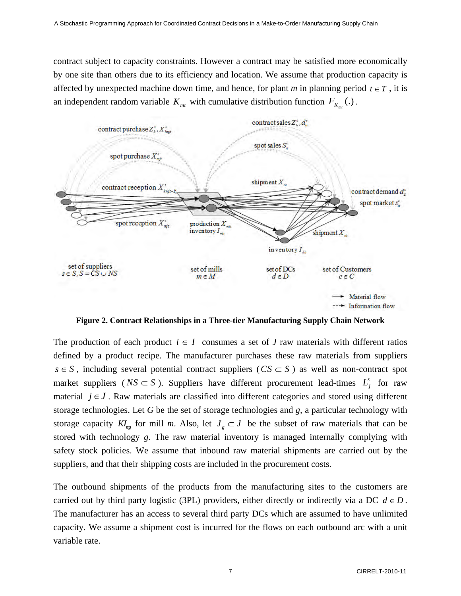contract subject to capacity constraints. However a contract may be satisfied more economically by one site than others due to its efficiency and location. We assume that production capacity is affected by unexpected machine down time, and hence, for plant *m* in planning period  $t \in T$ , it is an independent random variable  $K_{mt}$  with cumulative distribution function  $F_{K_{mt}}(.)$ .



**Figure 2. Contract Relationships in a Three-tier Manufacturing Supply Chain Network** 

The production of each product  $i \in I$  consumes a set of *J* raw materials with different ratios defined by a product recipe. The manufacturer purchases these raw materials from suppliers  $s \in S$ , including several potential contract suppliers ( $CS \subset S$ ) as well as non-contract spot market suppliers ( $NS \subset S$ ). Suppliers have different procurement lead-times  $L_j^s$  for raw material  $j \in J$ . Raw materials are classified into different categories and stored using different storage technologies. Let *G* be the set of storage technologies and *g,* a particular technology with storage capacity  $KI_{mg}$  for mill *m*. Also, let  $J_{g} \subset J$  be the subset of raw materials that can be stored with technology *g*. The raw material inventory is managed internally complying with safety stock policies. We assume that inbound raw material shipments are carried out by the suppliers, and that their shipping costs are included in the procurement costs.

The outbound shipments of the products from the manufacturing sites to the customers are carried out by third party logistic (3PL) providers, either directly or indirectly via a DC  $d \in D$ . The manufacturer has an access to several third party DCs which are assumed to have unlimited capacity. We assume a shipment cost is incurred for the flows on each outbound arc with a unit variable rate.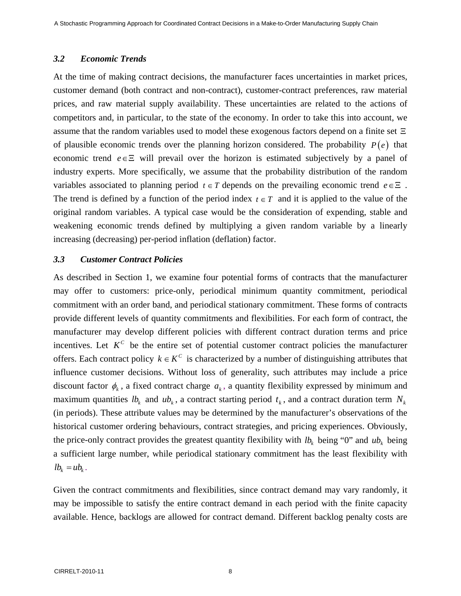### *3.2 Economic Trends*

At the time of making contract decisions, the manufacturer faces uncertainties in market prices, customer demand (both contract and non-contract), customer-contract preferences, raw material prices, and raw material supply availability. These uncertainties are related to the actions of competitors and, in particular, to the state of the economy. In order to take this into account, we assume that the random variables used to model these exogenous factors depend on a finite set Ξ of plausible economic trends over the planning horizon considered. The probability *P* (*e*) that economic trend *e*∈Ξ will prevail over the horizon is estimated subjectively by a panel of industry experts. More specifically, we assume that the probability distribution of the random variables associated to planning period  $t \in T$  depends on the prevailing economic trend  $e \in \Xi$ . The trend is defined by a function of the period index  $t \in T$  and it is applied to the value of the original random variables. A typical case would be the consideration of expending, stable and weakening economic trends defined by multiplying a given random variable by a linearly increasing (decreasing) per-period inflation (deflation) factor.

### *3.3 Customer Contract Policies*

As described in Section 1, we examine four potential forms of contracts that the manufacturer may offer to customers: price-only, periodical minimum quantity commitment, periodical commitment with an order band, and periodical stationary commitment. These forms of contracts provide different levels of quantity commitments and flexibilities. For each form of contract, the manufacturer may develop different policies with different contract duration terms and price incentives. Let  $K^C$  be the entire set of potential customer contract policies the manufacturer offers. Each contract policy  $k \in K^C$  is characterized by a number of distinguishing attributes that influence customer decisions. Without loss of generality, such attributes may include a price discount factor  $\phi_k$ , a fixed contract charge  $a_k$ , a quantity flexibility expressed by minimum and maximum quantities  $lb_k$  and  $ub_k$ , a contract starting period  $t_k$ , and a contract duration term  $N_k$ (in periods). These attribute values may be determined by the manufacturer's observations of the historical customer ordering behaviours, contract strategies, and pricing experiences. Obviously, the price-only contract provides the greatest quantity flexibility with  $lb_k$  being "0" and  $ub_k$  being a sufficient large number, while periodical stationary commitment has the least flexibility with  $lb_k = ub_k$ .

Given the contract commitments and flexibilities, since contract demand may vary randomly, it may be impossible to satisfy the entire contract demand in each period with the finite capacity available. Hence, backlogs are allowed for contract demand. Different backlog penalty costs are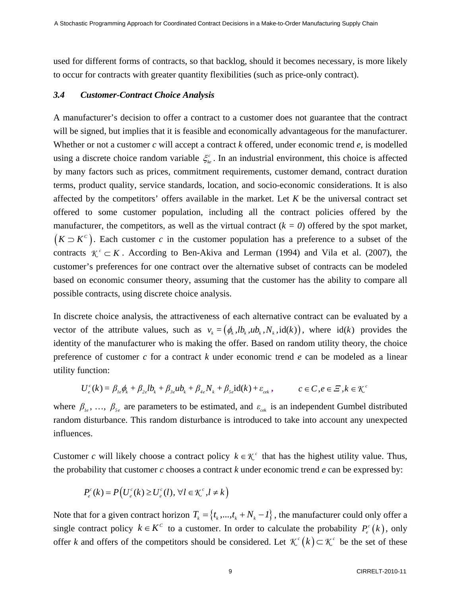used for different forms of contracts, so that backlog, should it becomes necessary, is more likely to occur for contracts with greater quantity flexibilities (such as price-only contract).

### *3.4 Customer-Contract Choice Analysis*

A manufacturer's decision to offer a contract to a customer does not guarantee that the contract will be signed, but implies that it is feasible and economically advantageous for the manufacturer. Whether or not a customer *c* will accept a contract *k* offered, under economic trend *e*, is modelled using a discrete choice random variable  $\xi_k^c$ . In an industrial environment, this choice is affected by many factors such as prices, commitment requirements, customer demand, contract duration terms, product quality, service standards, location, and socio-economic considerations. It is also affected by the competitors' offers available in the market. Let *K* be the universal contract set offered to some customer population, including all the contract policies offered by the manufacturer, the competitors, as well as the virtual contract  $(k = 0)$  offered by the spot market,  $(K \supset K<sup>c</sup>)$ . Each customer *c* in the customer population has a preference to a subset of the contracts  $\mathcal{K}^c \subset K$ . According to Ben-Akiva and Lerman (1994) and Vila et al. (2007), the customer's preferences for one contract over the alternative subset of contracts can be modeled based on economic consumer theory, assuming that the customer has the ability to compare all possible contracts, using discrete choice analysis.

In discrete choice analysis, the attractiveness of each alternative contract can be evaluated by a vector of the attribute values, such as  $v_k = (\phi_k, lb_k, ub_k, N_k, id(k))$ , where  $id(k)$  provides the identity of the manufacturer who is making the offer. Based on random utility theory, the choice preference of customer *c* for a contract *k* under economic trend *e* can be modeled as a linear utility function:

$$
U_e^c(k) = \beta_{1e}\phi_k + \beta_{2e}lb_k + \beta_{3e}ub_k + \beta_{4e}N_k + \beta_{5e}id(k) + \varepsilon_{cek}, \qquad c \in \mathbb{C}, e \in \mathbb{Z}, k \in \mathbb{K}^c
$$

where  $\beta_{i_e}$ , ...,  $\beta_{i_e}$  are parameters to be estimated, and  $\varepsilon_{i_{eik}}$  is an independent Gumbel distributed random disturbance. This random disturbance is introduced to take into account any unexpected influences.

Customer *c* will likely choose a contract policy  $k \in \mathcal{K}^c$  that has the highest utility value. Thus, the probability that customer *c* chooses a contract *k* under economic trend *e* can be expressed by:

$$
P_e^c(k) = P\big(U_e^c(k) \ge U_e^c(l), \,\forall l \in \mathcal{K}^c, l \ne k\big)
$$

Note that for a given contract horizon  $T_k = \{t_k, ..., t_k + N_k - I\}$ , the manufacturer could only offer a single contract policy  $k \in K^c$  to a customer. In order to calculate the probability  $P_e^c(k)$ , only offer *k* and offers of the competitors should be considered. Let  $\mathcal{K}^c(k) \subset \mathcal{K}^c$  be the set of these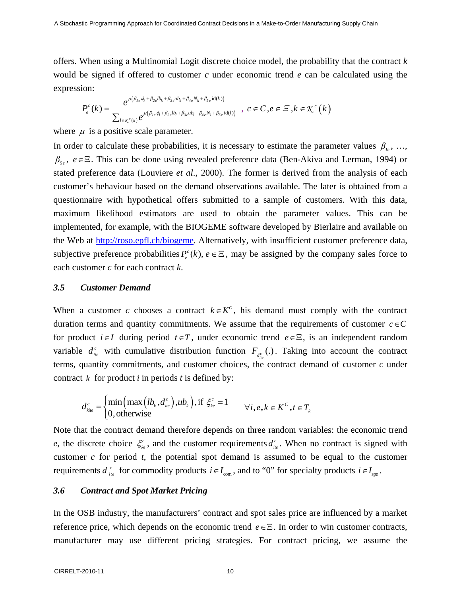offers. When using a Multinomial Logit discrete choice model, the probability that the contract *k* would be signed if offered to customer *c* under economic trend *e* can be calculated using the expression:

$$
P_e^c(k) = \frac{e^{\mu(\beta_{1e}\phi_k + \beta_{2e}lb_k + \beta_{3e}ub_k + \beta_{4e}N_k + \beta_{5e}id(k))}}{\sum_{l \in \mathcal{K}^c(k)} e^{\mu(\beta_{1e}\phi_l + \beta_{2e}lb_l + \beta_{3e}ub_l + \beta_{4e}N_l + \beta_{5e}id(l))}}, \quad c \in C, e \in \mathcal{Z}, k \in \mathcal{K}^c(k)
$$

where  $\mu$  is a positive scale parameter.

In order to calculate these probabilities, it is necessary to estimate the parameter values  $\beta_{i_e}$ , ..., *β*<sub>*se*</sub>, *e*∈Ξ. This can be done using revealed preference data (Ben-Akiva and Lerman, 1994) or stated preference data (Louviere *et al*., 2000). The former is derived from the analysis of each customer's behaviour based on the demand observations available. The later is obtained from a questionnaire with hypothetical offers submitted to a sample of customers. With this data, maximum likelihood estimators are used to obtain the parameter values. This can be implemented, for example, with the BIOGEME software developed by Bierlaire and available on the Web at http://roso.epfl.ch/biogeme. Alternatively, with insufficient customer preference data, subjective preference probabilities  $P_e^c(k)$ ,  $e \in \Xi$ , may be assigned by the company sales force to each customer *c* for each contract *k*.

### *3.5 Customer Demand*

When a customer *c* chooses a contract  $k \in K^c$ , his demand must comply with the contract duration terms and quantity commitments. We assume that the requirements of customer  $c \in C$ for product  $i \in I$  during period  $t \in T$ , under economic trend  $e \in \Xi$ , is an independent random variable  $d_{ie}^c$  with cumulative distribution function  $F_{d_{ie}^c}$ .). Taking into account the contract terms, quantity commitments, and customer choices, the contract demand of customer *c* under contract  $k$  for product  $i$  in periods  $t$  is defined by:

$$
d_{\scriptscriptstyle kite}^{\scriptscriptstyle c} = \begin{cases} \min\left(\max\left(lb_{\scriptscriptstyle k}, d_{\scriptscriptstyle ite}^{\scriptscriptstyle c}\right), u b_{\scriptscriptstyle k}\right), \text{if } \xi_{\scriptscriptstyle k e}^{\scriptscriptstyle c} = 1\\ 0, \text{ otherwise} \end{cases} \quad \forall i, e, k \in K^{\scriptscriptstyle C}, t \in T_{\scriptscriptstyle k}
$$

Note that the contract demand therefore depends on three random variables: the economic trend *e*, the discrete choice  $\xi_{k}^{c}$ , and the customer requirements  $d_{ie}^{c}$ . When no contract is signed with customer *c* for period *t*, the potential spot demand is assumed to be equal to the customer requirements  $d_{ie}^c$  for commodity products  $i \in I_{con}$ , and to "0" for specialty products  $i \in I_{spe}$ .

#### *3.6 Contract and Spot Market Pricing*

In the OSB industry, the manufacturers' contract and spot sales price are influenced by a market reference price, which depends on the economic trend *e*∈Ξ. In order to win customer contracts, manufacturer may use different pricing strategies. For contract pricing, we assume the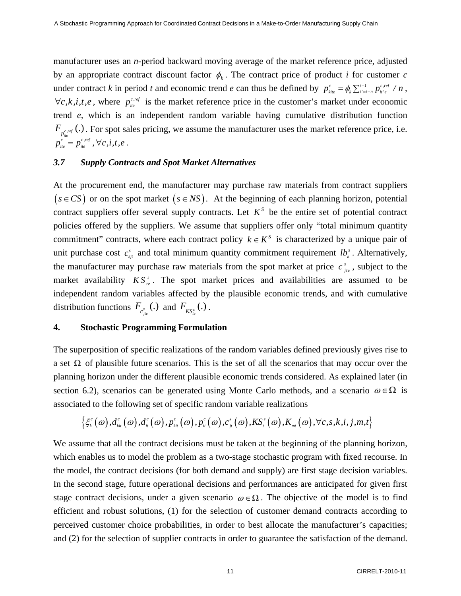manufacturer uses an *n*-period backward moving average of the market reference price, adjusted by an appropriate contract discount factor  $\phi_k$ . The contract price of product *i* for customer *c* under contract *k* in period *t* and economic trend *e* can thus be defined by  $p_{\text{kite}}^c = \phi_k \sum_{t'=t-n}^{t-1} p_{\text{kite}}^{c, ref} / n$ ,  $\forall c, k, i, t, e$ , where  $p_{i e}^{c, ref}$  is the market reference price in the customer's market under economic trend *e,* which is an independent random variable having cumulative distribution function  $F_{p_{\text{line}}^{c,ref}}(.)$ . For spot sales pricing, we assume the manufacturer uses the market reference price, i.e.  $p_{\scriptscriptstyle{ite}}^{\scriptscriptstyle{c}}=p_{\scriptscriptstyle{ite}}^{\scriptscriptstyle{c,ref}}$  ,  $\forall c,i,t,e$  .

### *3.7 Supply Contracts and Spot Market Alternatives*

At the procurement end, the manufacturer may purchase raw materials from contract suppliers  $(s \in CS)$  or on the spot market  $(s \in NS)$ . At the beginning of each planning horizon, potential contract suppliers offer several supply contracts. Let  $K^S$  be the entire set of potential contract policies offered by the suppliers. We assume that suppliers offer only "total minimum quantity commitment" contracts, where each contract policy  $k \in K^s$  is characterized by a unique pair of unit purchase cost  $c_{\xi i}^s$  and total minimum quantity commitment requirement  $lb_i^s$ . Alternatively, the manufacturer may purchase raw materials from the spot market at price  $c_{jte}^s$ , subject to the market availability  $KS_{te}^{s}$ . The spot market prices and availabilities are assumed to be independent random variables affected by the plausible economic trends, and with cumulative distribution functions  $F_{c_{jne}^s}$  (.) and  $F_{KS_{i_e}^s}$  (.).

#### **4. Stochastic Programming Formulation**

The superposition of specific realizations of the random variables defined previously gives rise to a set  $\Omega$  of plausible future scenarios. This is the set of all the scenarios that may occur over the planning horizon under the different plausible economic trends considered. As explained later (in section 6.2), scenarios can be generated using Monte Carlo methods, and a scenario  $\omega \in \Omega$  is associated to the following set of specific random variable realizations

$$
\left\{\xi_{\scriptscriptstyle{k}}^c\big(\omega\big), d_{{\scriptscriptstyle{k}}{\scriptscriptstyle{i}}{\scriptscriptstyle{r}}}^c\big(\omega\big), d_{{\scriptscriptstyle{k}}{\scriptscriptstyle{r}}}^c\big(\omega\big), p_{{\scriptscriptstyle{k}}{\scriptscriptstyle{i}}{\scriptscriptstyle{r}}}^c\big(\omega\big), p_{{\scriptscriptstyle{j}}{\scriptscriptstyle{r}}}^c\big(\omega\big), \mathcal{C}_{{\scriptscriptstyle{j}}{\scriptscriptstyle{r}}}^s\big(\omega\big), \mathcal{K} S_{\scriptscriptstyle{l}}^s\big(\omega\big), K_{{\scriptscriptstyle{m}}{\scriptscriptstyle{t}}}^c\big(\omega\big), \forall c,s,k,i,j,m,t\right\}
$$

We assume that all the contract decisions must be taken at the beginning of the planning horizon, which enables us to model the problem as a two-stage stochastic program with fixed recourse. In the model, the contract decisions (for both demand and supply) are first stage decision variables. In the second stage, future operational decisions and performances are anticipated for given first stage contract decisions, under a given scenario  $\omega \in \Omega$ . The objective of the model is to find efficient and robust solutions, (1) for the selection of customer demand contracts according to perceived customer choice probabilities, in order to best allocate the manufacturer's capacities; and (2) for the selection of supplier contracts in order to guarantee the satisfaction of the demand.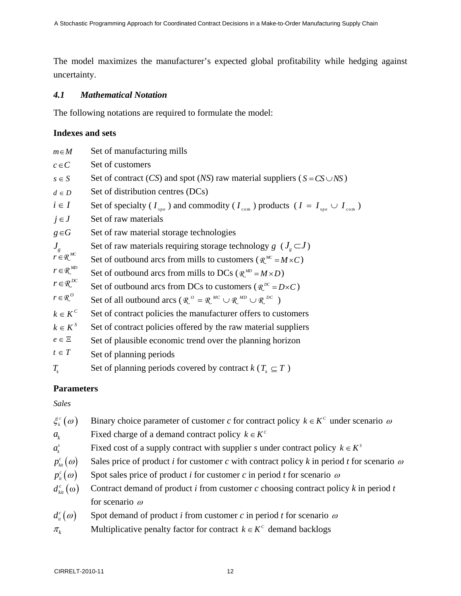The model maximizes the manufacturer's expected global profitability while hedging against uncertainty.

# *4.1 Mathematical Notation*

The following notations are required to formulate the model:

# **Indexes and sets**

| $m \in M$                        | Set of manufacturing mills                                                                                         |
|----------------------------------|--------------------------------------------------------------------------------------------------------------------|
| $c \in C$                        | Set of customers                                                                                                   |
| $s \in S$                        | Set of contract (CS) and spot (NS) raw material suppliers ( $S = CS \cup NS$ )                                     |
| $d \in D$                        | Set of distribution centres (DCs)                                                                                  |
| $i \in I$                        | Set of specialty ( $I_{\rm spe}$ ) and commodity ( $I_{\rm com}$ ) products ( $I = I_{\rm spe} \cup I_{\rm com}$ ) |
| $j \in J$                        | Set of raw materials                                                                                               |
| $g \in G$                        | Set of raw material storage technologies                                                                           |
| $J_{g}$                          | Set of raw materials requiring storage technology $g$ ( $Je \subset J$ )                                           |
| $r \in \mathcal{R}^{MC}$         | Set of outbound arcs from mills to customers ( $\mathcal{R}^{MC} = M \times C$ )                                   |
| $r \in \mathbb{R}^{MD}$          | Set of outbound arcs from mills to DCs ( $\mathbb{R}^{MD} = M \times D$ )                                          |
| $r \in \mathbb{R}^{DC}$          | Set of outbound arcs from DCs to customers ( $\mathcal{R}^{bc} = D \times C$ )                                     |
| $r \in \mathbb{R}^{\mathcal{O}}$ | Set of all outbound arcs ( $\mathbb{R}^0 = \mathbb{R}^{MC} \cup \mathbb{R}^{MD} \cup \mathbb{R}^{DC}$ )            |
| $k \in K^c$                      | Set of contract policies the manufacturer offers to customers                                                      |
| $k \in K^s$                      | Set of contract policies offered by the raw material suppliers                                                     |
| $e \in \Xi$                      | Set of plausible economic trend over the planning horizon                                                          |
| $t \in T$                        | Set of planning periods                                                                                            |
| $T_{\scriptscriptstyle k}$       | Set of planning periods covered by contract $k$ ( $T_k \subseteq T$ )                                              |

# **Parameters**

*Sales* 

| $\xi_k^c(\omega)$                                                 | Binary choice parameter of customer c for contract policy $k \in K^c$ under scenario $\omega$                                |
|-------------------------------------------------------------------|------------------------------------------------------------------------------------------------------------------------------|
| $a_{\iota}$                                                       | Fixed charge of a demand contract policy $k \in K^c$                                                                         |
| $a_{i}^{s}$                                                       | Fixed cost of a supply contract with supplier s under contract policy $k \in K^s$                                            |
| $p_{\scriptscriptstyle k\!i}^{\scriptscriptstyle c}(\mathcal{w})$ | Sales price of product <i>i</i> for customer <i>c</i> with contract policy <i>k</i> in period <i>t</i> for scenario $\omega$ |
| $p_{\mu}^{c}(\omega)$                                             | Spot sales price of product <i>i</i> for customer <i>c</i> in period <i>t</i> for scenario $\omega$                          |
| $d_{\scriptscriptstyle kin}^{\scriptscriptstyle c}(\omega)$       | Contract demand of product i from customer c choosing contract policy $k$ in period t                                        |
|                                                                   | for scenario $\omega$                                                                                                        |
| $d_{\scriptscriptstyle it}^{\scriptscriptstyle c}(\omega)$        | Spot demand of product <i>i</i> from customer <i>c</i> in period <i>t</i> for scenario $\omega$                              |
| $\pi_{\scriptscriptstyle{k}}$                                     | Multiplicative penalty factor for contract $k \in K^c$ demand backlogs                                                       |
|                                                                   |                                                                                                                              |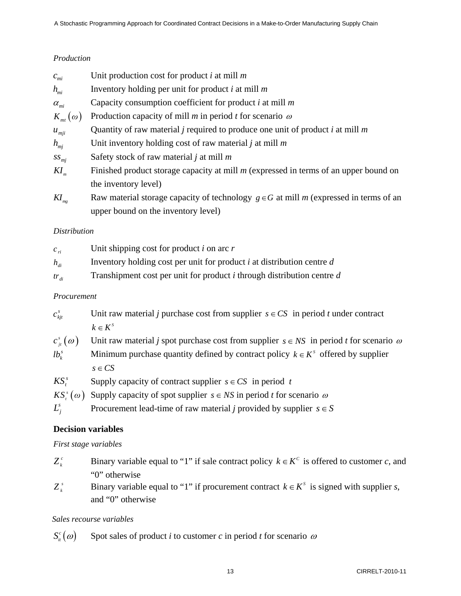# *Production*

| $c_{m i}$                       | Unit production cost for product i at mill $m$                                                 |
|---------------------------------|------------------------------------------------------------------------------------------------|
| $h_{mi}$                        | Inventory holding per unit for product $i$ at mill $m$                                         |
| $\alpha_{\rm m i}$              | Capacity consumption coefficient for product $i$ at mill $m$                                   |
| $K_{_{mt}}(\omega)$             | Production capacity of mill $m$ in period $t$ for scenario $\omega$                            |
| $u_{mji}$                       | Quantity of raw material <i>j</i> required to produce one unit of product <i>i</i> at mill $m$ |
| $h_{mi}$                        | Unit inventory holding cost of raw material j at mill $m$                                      |
| $SS_{mj}$                       | Safety stock of raw material $j$ at mill $m$                                                   |
| $KI_{m}$                        | Finished product storage capacity at mill $m$ (expressed in terms of an upper bound on         |
|                                 | the inventory level)                                                                           |
| $K\!I_{\scriptscriptstyle{mg}}$ | Raw material storage capacity of technology $g \in G$ at mill m (expressed in terms of an      |
|                                 |                                                                                                |

# *Distribution*

| $C_{ri}$                     | Unit shipping cost for product i on arc $r$                                |
|------------------------------|----------------------------------------------------------------------------|
| $h_{\scriptscriptstyle{di}}$ | Inventory holding cost per unit for product $i$ at distribution centre $d$ |
| $tr_{di}$                    | Transhipment cost per unit for product i through distribution centre $d$   |

upper bound on the inventory level)

# *Procurement*

| $c_{\mathit{kit}}^{\mathit{s}}$ | Unit raw material j purchase cost from supplier $s \in CS$ in period t under contract |
|---------------------------------|---------------------------------------------------------------------------------------|
|                                 | $k \in K^s$                                                                           |

 $c^{\textit{s}}_{\textit{it}}(\omega)$ Unit raw material *j* spot purchase cost from supplier  $s \in NS$  in period *t* for scenario  $\omega$ 

- $lb<sub>k</sub><sup>s</sup>$ *Minimum purchase quantity defined by contract policy*  $k \in K^s$  *offered by supplier*  $s \in CS$
- *KS<sup>s</sup>* Supply capacity of contract supplier  $s \in CS$  in period *t*
- $KS_{n}^{s}(\omega)$  Supply capacity of spot supplier  $s \in NS$  in period *t* for scenario  $\omega$
- *L*<sup>*s*</sup> Procurement lead-time of raw material *j* provided by supplier  $s \in S$

# **Decision variables**

# *First stage variables*

- *Z*<sup>*c*</sup> Binary variable equal to "1" if sale contract policy  $k \in K^c$  is offered to customer *c*, and "0" otherwise
- *z*<sup>*s*</sup> Binary variable equal to "1" if procurement contract  $k \in K^s$  is signed with supplier *s*, and "0" otherwise

# *Sales recourse variables*

 $S_{i}^{c}(\omega)$ Spot sales of product *i* to customer *c* in period *t* for scenario  $\omega$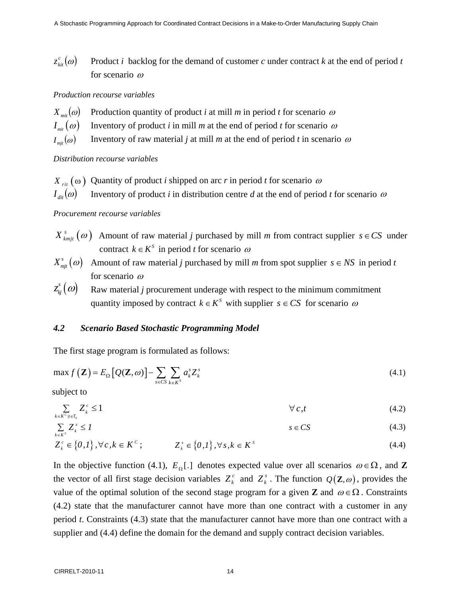$z_{\scriptscriptstyle kin}^{\scriptscriptstyle c}(\omega)$ Product *i* backlog for the demand of customer  $c$  under contract  $k$  at the end of period  $t$ for scenario <sup>ω</sup>

#### *Production recourse variables*

| $X_{\text{mit}}(\omega)$ Production quantity of product <i>i</i> at mill <i>m</i> in period <i>t</i> for scenario $\omega$ |
|----------------------------------------------------------------------------------------------------------------------------|
| $I_{\text{mit}}(\omega)$ Inventory of product i in mill m at the end of period t for scenario $\omega$                     |
| $I_{mji}(\omega)$ Inventory of raw material j at mill m at the end of period t in scenario $\omega$                        |

#### *Distribution recourse variables*

*X*<sub>*rit*</sub> ( $\omega$ ) Quantity of product *i* shipped on arc *r* in period *t* for scenario  $\omega$  $I_{\text{dir}}(\omega)$  Inventory of product *i* in distribution centre *d* at the end of period *t* for scenario  $\omega$ 

#### *Procurement recourse variables*

- $X_{kmit}^s(\omega)$  Amount of raw material *j* purchased by mill *m* from contract supplier  $s \in CS$  under contract  $k \in K^S$  in period *t* for scenario  $\omega$
- $X_{\textit{mit}}^s(\omega)$  Amount of raw material *j* purchased by mill *m* from spot supplier  $s \in NS$  in period *t* for scenario <sup>ω</sup>
- $z_{\scriptscriptstyle{k i}}^{\scriptscriptstyle{s}}(\mathbf{\omega})$ Raw material *j* procurement underage with respect to the minimum commitment quantity imposed by contract  $k \in K^s$  with supplier  $s \in CS$  for scenario  $\omega$

### *4.2 Scenario Based Stochastic Programming Model*

The first stage program is formulated as follows:

$$
\max f\left(\mathbf{Z}\right) = E_{\Omega}\left[\mathcal{Q}(\mathbf{Z},\omega)\right] - \sum_{s \in CS} \sum_{k \in K^{S}} a_{k}^{s} Z_{k}^{s}
$$
\n(4.1)

subject to

$$
\sum_{k \in K^C | t \in T_k} Z_k^c \le 1 \qquad \forall c, t \tag{4.2}
$$

$$
\sum_{k \in K^S} Z_k^s \le I \tag{4.3}
$$

$$
Z_k^c \in \{0,1\}, \forall c, k \in K^c; \qquad Z_k^s \in \{0,1\}, \forall s, k \in K^s \qquad (4.4)
$$

In the objective function (4.1),  $E_{\Omega}$ [.] denotes expected value over all scenarios  $\omega \in \Omega$ , and **Z** the vector of all first stage decision variables  $Z_k^c$  and  $Z_k^s$ . The function  $Q(Z, \omega)$ , provides the value of the optimal solution of the second stage program for a given **Z** and  $\omega \in \Omega$ . Constraints (4.2) state that the manufacturer cannot have more than one contract with a customer in any period *t*. Constraints (4.3) state that the manufacturer cannot have more than one contract with a supplier and  $(4.4)$  define the domain for the demand and supply contract decision variables.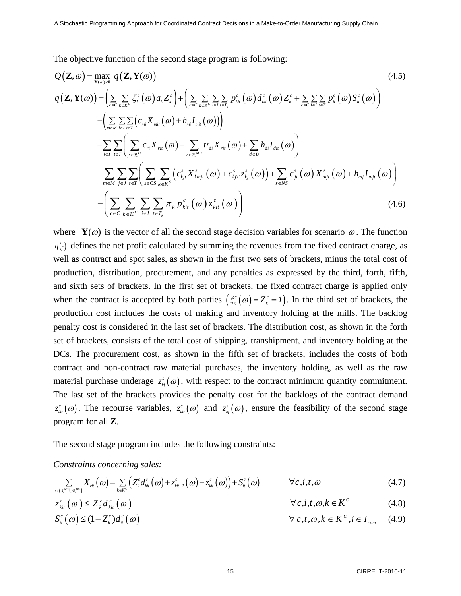The objective function of the second stage program is following:

$$
Q(\mathbf{Z}, \omega) = \max_{\mathbf{Y}(\omega) \geq 0} q(\mathbf{Z}, \mathbf{Y}(\omega))
$$
\n
$$
q(\mathbf{Z}, \mathbf{Y}(\omega)) = \left( \sum_{c \in C} \sum_{k \in K^c} \xi_{k}^{c} (\omega) a_{k} Z_{k}^{c} \right) + \left( \sum_{c \in C} \sum_{k \in K^c} \sum_{i \in I} \sum_{i \in T_{i}} p_{ki}^{c} (\omega) d_{ki}^{c} (\omega) Z_{k}^{c} + \sum_{c \in C} \sum_{i \in I} \sum_{i \in T} p_{ii}^{c} (\omega) S_{ii}^{c} (\omega) \right)
$$
\n
$$
- \left( \sum_{m \in M} \sum_{i \in I} \sum_{i \in T} \left( c_{mi} X_{mi} (\omega) + h_{mi} I_{mi} (\omega) \right) \right)
$$
\n
$$
- \sum_{i \in I} \sum_{i \in T} \left( \sum_{r \in \mathcal{R}^{0}} c_{ri} X_{ri} (\omega) + \sum_{r \in \mathcal{R}^{MD}} tr_{di} X_{ri} (\omega) + \sum_{d \in D} h_{di} I_{dir} (\omega) \right)
$$
\n
$$
- \sum_{m \in M} \sum_{j \in J} \sum_{t \in T} \left( \sum_{s \in CS} \sum_{k \in K^{S}} \left( c_{kj}^{s} X_{kmjt}^{s} (\omega) + c_{kjT}^{s} z_{kj}^{s} (\omega) \right) + \sum_{s \in NS} c_{jt}^{s} (\omega) X_{mjt}^{s} (\omega) + h_{mj} I_{mjt} (\omega) \right)
$$
\n
$$
- \left( \sum_{c \in C} \sum_{k \in K^{C}} \sum_{i \in I} \sum_{t \in T_{k}} \pi_{k} p_{ki}^{c} (\omega) z_{ki}^{c} (\omega) \right)
$$
\n
$$
(4.6)
$$

where  $\mathbf{Y}(\omega)$  is the vector of all the second stage decision variables for scenario  $\omega$ . The function  $q(\cdot)$  defines the net profit calculated by summing the revenues from the fixed contract charge, as well as contract and spot sales, as shown in the first two sets of brackets, minus the total cost of production, distribution, procurement, and any penalties as expressed by the third, forth, fifth, and sixth sets of brackets. In the first set of brackets, the fixed contract charge is applied only when the contract is accepted by both parties  $(\xi_k^c(\omega) = Z_k^c = I)$ . In the third set of brackets, the production cost includes the costs of making and inventory holding at the mills. The backlog penalty cost is considered in the last set of brackets. The distribution cost, as shown in the forth set of brackets, consists of the total cost of shipping, transhipment, and inventory holding at the DCs. The procurement cost, as shown in the fifth set of brackets, includes the costs of both contract and non-contract raw material purchases, the inventory holding, as well as the raw material purchase underage  $z_{kj}^s(\omega)$ , with respect to the contract minimum quantity commitment. The last set of the brackets provides the penalty cost for the backlogs of the contract demand  $z_{ki}^c(\omega)$ . The recourse variables,  $z_{ki}^c(\omega)$  and  $z_{kj}^s(\omega)$ , ensure the feasibility of the second stage program for all **Z**.

The second stage program includes the following constraints:

*Constraints concerning sales:* 

$$
\sum_{r \in \left(\mathbb{R}^{MC} \cup \mathbb{R}^{DC}\right)} X_{ri}(\omega) = \sum_{k \in \mathbb{K}^{C}} \left( Z_{k}^{c} d_{ki}^{c}(\omega) + z_{ki-l}^{c}(\omega) - z_{ki}^{c}(\omega) \right) + S_{ii}^{c}(\omega) \qquad \forall c, i, t, \omega \tag{4.7}
$$

$$
z_{\scriptscriptstyle ki}^{\scriptscriptstyle c}(\omega) \leq Z_{\scriptscriptstyle k}^{\scriptscriptstyle c} d_{\scriptscriptstyle ki}^{\scriptscriptstyle c}(\omega) \qquad \qquad \forall c, i, t, \omega, k \in K^{\scriptscriptstyle C} \qquad (4.8)
$$

$$
S_{\dot{u}}^c(\omega) \le (1 - Z_k^c) d_{\dot{u}}^c(\omega) \qquad \forall c, t, \omega, k \in K^c, i \in I_{\text{com}} \quad (4.9)
$$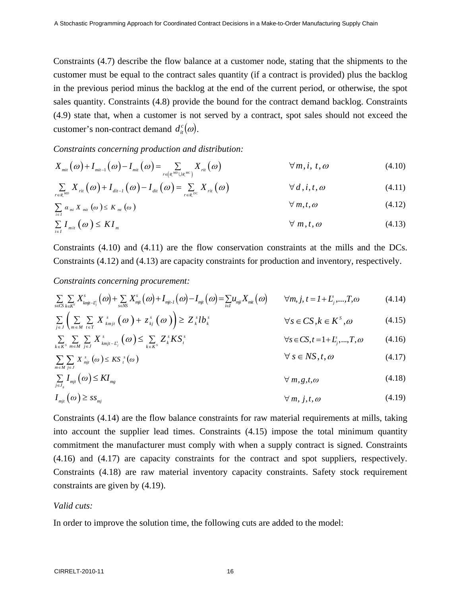Constraints (4.7) describe the flow balance at a customer node, stating that the shipments to the customer must be equal to the contract sales quantity (if a contract is provided) plus the backlog in the previous period minus the backlog at the end of the current period, or otherwise, the spot sales quantity. Constraints (4.8) provide the bound for the contract demand backlog. Constraints (4.9) state that, when a customer is not served by a contract, spot sales should not exceed the customer's non-contract demand  $d_i^c(\omega)$ .

*Constraints concerning production and distribution:* 

$$
X_{\scriptscriptstyle{mit}}(\omega) + I_{\scriptscriptstyle{mit}-1}(\omega) - I_{\scriptscriptstyle{mit}}(\omega) = \sum_{\scriptscriptstyle{r \in (\mathfrak{X}^{\scriptscriptstyle{MD}} \cup \mathfrak{X}^{\scriptscriptstyle{MC}})}} X_{\scriptscriptstyle{rit}}(\omega) \qquad \forall m, i, t, \omega \qquad (4.10)
$$

$$
\sum_{r \in \mathcal{R}^{M0}} X_{ri}(\omega) + I_{di-1}(\omega) - I_{di}(\omega) = \sum_{r \in \mathcal{R}^{DC}} X_{ri}(\omega) \qquad \forall d, i, t, \omega \qquad (4.11)
$$

$$
\sum_{i \in I} \alpha_{mi} X_{mi} (\omega) \leq K_{mi} (\omega)
$$
\n
$$
\forall m, t, \omega \tag{4.12}
$$

$$
\sum_{i \in I} I_{\min}(\omega) \le K I_m \qquad \qquad \forall m, t, \omega \qquad (4.13)
$$

Constraints (4.10) and (4.11) are the flow conservation constraints at the mills and the DCs. Constraints (4.12) and (4.13) are capacity constraints for production and inventory, respectively.

*Constraints concerning procurement:* 

$$
\sum_{s \in CS} \sum_{k \in K^S} X^s_{k m j t - L^s_j}(\omega) + \sum_{s \in NS} X^s_{m j t}(\omega) + I_{m j t - I}(\omega) - I_{m j t}(\omega) = \sum_{i \in I} u_{m j i} X_{m i t}(\omega) \qquad \forall m, j, t = I + L^s_j, ..., T, \omega
$$
\n(4.14)

$$
\sum_{j\in J}\left(\sum_{m\in M}\sum_{t\in T}X_{kmjt}^{s}\left(\omega\right)+z_{kj}^{s}\left(\omega\right)\right)\geq Z_{k}^{s}lb_{k}^{s}\qquad\qquad\forall s\in CS,k\in K^{S},\omega\tag{4.15}
$$

$$
\sum_{k \in K^s} \sum_{m \in M} \sum_{j \in J} X^s_{kmjt-L^s_j} (\omega) \leq \sum_{k \in K^s} Z^s_k K S^s_t \qquad \forall s \in CS, t = 1 + L^s_j, ..., T, \omega \qquad (4.16)
$$

$$
\sum_{m \in M} \sum_{j \in J} X_{mji}^s(\omega) \le KS_i^s(\omega) \qquad \forall s \in NS, t, \omega \qquad (4.17)
$$

$$
\sum_{j\in J_{g}}I_{mjt}(\omega)\leq K I_{mg}\qquad\qquad\qquad\forall m,g,t,\omega\qquad\qquad(4.18)
$$

$$
I_{mjt}(\omega) \geq ss_{mj} \qquad \qquad \forall m, j, t, \omega \qquad (4.19)
$$

Constraints (4.14) are the flow balance constraints for raw material requirements at mills, taking into account the supplier lead times. Constraints (4.15) impose the total minimum quantity commitment the manufacturer must comply with when a supply contract is signed. Constraints (4.16) and (4.17) are capacity constraints for the contract and spot suppliers, respectively. Constraints (4.18) are raw material inventory capacity constraints. Safety stock requirement constraints are given by (4.19).

### *Valid cuts:*

In order to improve the solution time, the following cuts are added to the model: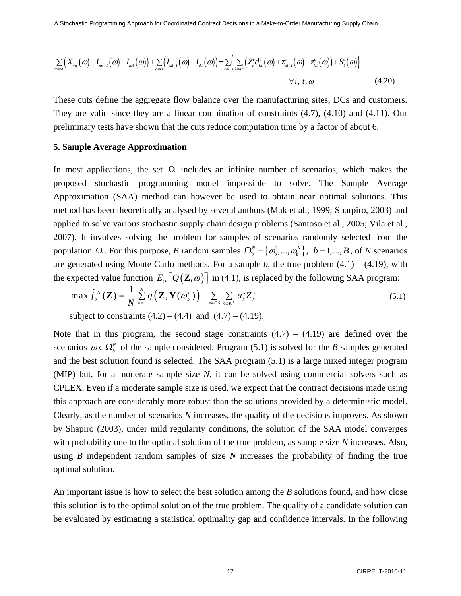$$
\sum_{m\in M}\Big(X_{mi}(\omega)+I_{mi-1}(\omega)-I_{mi}(\omega)\Big)+\sum_{d\in D}\Big(I_{di-1}(\omega)-I_{di}(\omega)\Big)=\sum_{c\in C}\Big(\sum_{k\in K^c}\Big(Z_k^c d_{ki}^c(\omega)+z_{ki-1}^c(\omega)-z_{ki}^c(\omega)\Big)+S_{ii}^c(\omega)\Big)\\qquad \qquad \forall i,\ t,\omega\tag{4.20}
$$

These cuts define the aggregate flow balance over the manufacturing sites, DCs and customers. They are valid since they are a linear combination of constraints (4.7), (4.10) and (4.11). Our preliminary tests have shown that the cuts reduce computation time by a factor of about 6.

#### **5. Sample Average Approximation**

In most applications, the set  $\Omega$  includes an infinite number of scenarios, which makes the proposed stochastic programming model impossible to solve. The Sample Average Approximation (SAA) method can however be used to obtain near optimal solutions. This method has been theoretically analysed by several authors (Mak et al., 1999; Sharpiro, 2003) and applied to solve various stochastic supply chain design problems (Santoso et al., 2005; Vila et al., 2007). It involves solving the problem for samples of scenarios randomly selected from the population  $\Omega$ . For this purpose, *B* random samples  $\Omega_b^N = \{\omega_b^1, ..., \omega_b^N\}$ ,  $b = 1, ..., B$ , of *N* scenarios are generated using Monte Carlo methods. For a sample  $b$ , the true problem  $(4.1) - (4.19)$ , with the expected value function  $E_{\Omega} [Q(\mathbf{Z}, \omega)]$  in (4.1), is replaced by the following SAA program:

$$
\max \hat{f}_{b}^{N}(\mathbf{Z}) = \frac{1}{N} \sum_{n=1}^{N} q\left(\mathbf{Z}, \mathbf{Y}(\boldsymbol{\omega}_{b}^{n})\right) - \sum_{s \in CS} \sum_{k \in K^{S}} a_{k}^{s} \mathbf{Z}_{k}^{s}
$$
(5.1)

subject to constraints  $(4.2) - (4.4)$  and  $(4.7) - (4.19)$ .

Note that in this program, the second stage constraints  $(4.7) - (4.19)$  are defined over the scenarios  $\omega \in \Omega_b^N$  of the sample considered. Program (5.1) is solved for the *B* samples generated and the best solution found is selected. The SAA program (5.1) is a large mixed integer program (MIP) but, for a moderate sample size *N*, it can be solved using commercial solvers such as CPLEX. Even if a moderate sample size is used, we expect that the contract decisions made using this approach are considerably more robust than the solutions provided by a deterministic model. Clearly, as the number of scenarios *N* increases, the quality of the decisions improves. As shown by Shapiro (2003), under mild regularity conditions, the solution of the SAA model converges with probability one to the optimal solution of the true problem, as sample size *N* increases. Also, using *B* independent random samples of size *N* increases the probability of finding the true optimal solution.

An important issue is how to select the best solution among the *B* solutions found, and how close this solution is to the optimal solution of the true problem. The quality of a candidate solution can be evaluated by estimating a statistical optimality gap and confidence intervals. In the following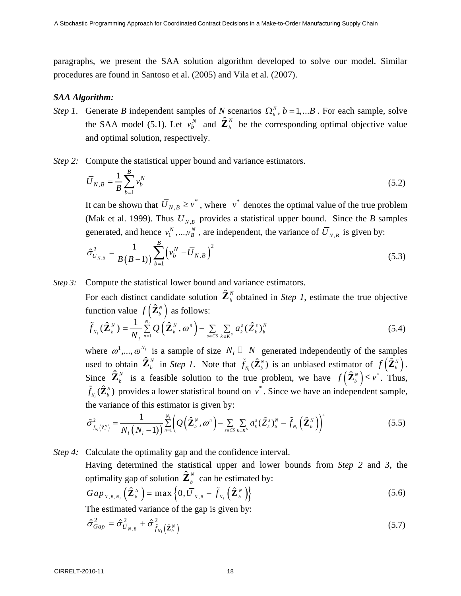paragraphs, we present the SAA solution algorithm developed to solve our model. Similar procedures are found in Santoso et al. (2005) and Vila et al. (2007).

### *SAA Algorithm:*

- *Step 1*. Generate *B* independent samples of *N* scenarios  $\Omega_b^N$ ,  $b = 1,...B$ . For each sample, solve the SAA model (5.1). Let  $v_b^N$  and  $\hat{\mathbf{Z}}_b^N$  be the corresponding optimal objective value and optimal solution, respectively.
- *Step 2:* Compute the statistical upper bound and variance estimators.

$$
\overline{U}_{N,B} = \frac{1}{B} \sum_{b=1}^{B} v_b^N
$$
\n(5.2)

It can be shown that  $\overline{U}_{N,B} \ge v^*$ , where  $v^*$  denotes the optimal value of the true problem (Mak et al. 1999). Thus  $\overline{U}_{N,B}$  provides a statistical upper bound. Since the *B* samples generated, and hence  $v_1^N$ , ...,  $v_B^N$ , are independent, the variance of  $\overline{U}_{N,B}$  is given by:

$$
\hat{\sigma}_{\bar{U}_{N,B}}^2 = \frac{1}{B(B-1)} \sum_{b=1}^B \left( v_b^N - \bar{U}_{N,B} \right)^2 \tag{5.3}
$$

*Step 3:* Compute the statistical lower bound and variance estimators.

For each distinct candidate solution  $\hat{\mathbf{Z}}_b^N$  obtained in *Step 1*, estimate the true objective function value  $f\left( \hat{\mathbf{Z}}_{b}^{N} \right)$  as follows:

$$
\widetilde{f}_{N_l}(\widehat{\mathbf{Z}}_b^N) = \frac{1}{N_l} \sum_{n=1}^{N_l} Q\left(\widehat{\mathbf{Z}}_b^N, \omega^n\right) - \sum_{s \in CS} \sum_{k \in K^s} a_k^s (\widehat{\mathbf{Z}}_k^s)_b^N
$$
\n(5.4)

where  $\omega^1, \ldots, \omega^{N_l}$  is a sample of size  $N_l \square N$  generated independently of the samples used to obtain  $\hat{\mathbf{Z}}_b^N$  in *Step 1*. Note that  $\tilde{f}_{N_i}(\hat{\mathbf{Z}}_b^N)$  $\tilde{f}_{N_i}(\hat{\mathbf{Z}}_b^N)$  is an unbiased estimator of  $f(\hat{\mathbf{Z}}_b^N)$ . Since  $\hat{\mathbf{Z}}_b^N$  is a feasible solution to the true problem, we have  $f(\hat{\mathbf{Z}}_b^N) \leq v^*$ . Thus,  $\hat{(\mathbf{Z}}_b^{\scriptscriptstyle{N}})$  $\tilde{f}_{N}(\hat{\mathbf{Z}}_b^N)$  provides a lower statistical bound on  $v^*$ . Since we have an independent sample, the variance of this estimator is given by:

$$
\hat{\sigma}_{\tilde{f}_{N_l}(\hat{\mathbf{z}}_b^N)}^2 = \frac{1}{N_l \left(N_l - 1\right)} \sum_{n=1}^{N_l} \left(Q\left(\hat{\mathbf{Z}}_b^N, \omega^n\right) - \sum_{s \in CS} \sum_{k \in K^S} a_k^s \left(\hat{\mathbf{Z}}_k^s\right)_b^N - \tilde{f}_{N_l} \left(\hat{\mathbf{Z}}_b^N\right)\right)^2 \tag{5.5}
$$

*Step 4:* Calculate the optimality gap and the confidence interval.

 Having determined the statistical upper and lower bounds from *Step 2* and *3*, the optimality gap of solution  $\hat{\mathbf{Z}}_b^N$  can be estimated by:

$$
Gap_{N,B,N_i}\left(\hat{\mathbf{Z}}_{b}^{N}\right)=\max\left\{0,\overline{U}_{N,B}-\tilde{f}_{N_i}\left(\hat{\mathbf{Z}}_{b}^{N}\right)\right\}
$$
(5.6)

The estimated variance of the gap is given by:

$$
\hat{\sigma}_{Gap}^2 = \hat{\sigma}_{\bar{U}_{N,B}}^2 + \hat{\sigma}_{\tilde{f}_{N_l}}^2(\hat{\mathbf{z}}_b^N)
$$
\n(5.7)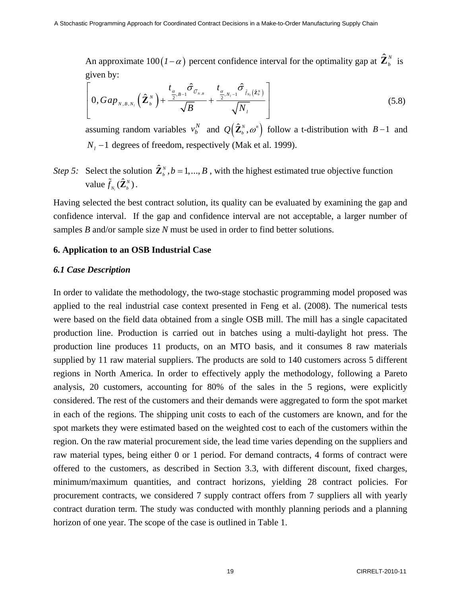An approximate 100( $I - \alpha$ ) percent confidence interval for the optimality gap at  $\hat{\mathbf{Z}}_b^N$  is given by:

$$
\left[0, Gap_{N,B,N_i}\left(\hat{\mathbf{Z}}_{b}^{N}\right)+\frac{t_{\frac{\alpha}{2},B-1}\hat{\sigma}_{\bar{U}_{N,B}}}{\sqrt{B}}+\frac{t_{\frac{\alpha}{2},N_i-1}\hat{\sigma}_{\bar{f}_{N_i}}(\hat{\mathbf{z}}_{b}^{N})}{\sqrt{N_i}}\right]
$$
(5.8)

assuming random variables  $v_b^N$  and  $Q(\hat{\mathbf{Z}}_b^N, \omega^m)$  follow a t-distribution with  $B-1$  and *N<sub>i</sub>* −1 degrees of freedom, respectively (Mak et al. 1999).

*Step 5:* Select the solution  $\hat{\mathbf{Z}}_b^N$ ,  $b = 1, ..., B$ , with the highest estimated true objective function value  $\tilde{f}_{N_l}(\hat{\mathbf{Z}}_b^N)$  $\tilde{f}_{_{N_i}}(\hat{\mathbf{Z}}_{_{b}}^{^{N}})$  .

Having selected the best contract solution, its quality can be evaluated by examining the gap and confidence interval. If the gap and confidence interval are not acceptable, a larger number of samples *B* and/or sample size *N* must be used in order to find better solutions.

### **6. Application to an OSB Industrial Case**

#### *6.1 Case Description*

In order to validate the methodology, the two-stage stochastic programming model proposed was applied to the real industrial case context presented in Feng et al. (2008). The numerical tests were based on the field data obtained from a single OSB mill. The mill has a single capacitated production line. Production is carried out in batches using a multi-daylight hot press. The production line produces 11 products, on an MTO basis, and it consumes 8 raw materials supplied by 11 raw material suppliers. The products are sold to 140 customers across 5 different regions in North America. In order to effectively apply the methodology, following a Pareto analysis, 20 customers, accounting for 80% of the sales in the 5 regions, were explicitly considered. The rest of the customers and their demands were aggregated to form the spot market in each of the regions. The shipping unit costs to each of the customers are known, and for the spot markets they were estimated based on the weighted cost to each of the customers within the region. On the raw material procurement side, the lead time varies depending on the suppliers and raw material types, being either 0 or 1 period. For demand contracts, 4 forms of contract were offered to the customers, as described in Section 3.3, with different discount, fixed charges, minimum/maximum quantities, and contract horizons, yielding 28 contract policies. For procurement contracts, we considered 7 supply contract offers from 7 suppliers all with yearly contract duration term. The study was conducted with monthly planning periods and a planning horizon of one year. The scope of the case is outlined in Table 1.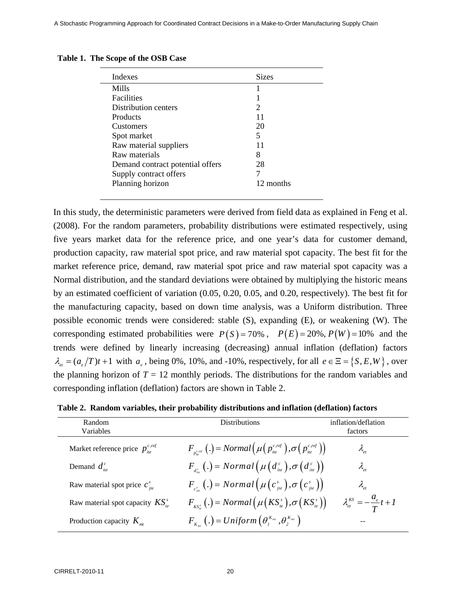| Indexes                          | <b>Sizes</b> |
|----------------------------------|--------------|
| Mills                            |              |
| <b>Facilities</b>                |              |
| Distribution centers             | 2            |
| Products                         | 11           |
| <b>Customers</b>                 | 20           |
| Spot market                      | 5            |
| Raw material suppliers           | 11           |
| Raw materials                    | 8            |
| Demand contract potential offers | 28           |
| Supply contract offers           |              |
| Planning horizon                 | 12 months    |
|                                  |              |

|  | Table 1. The Scope of the OSB Case |  |  |  |
|--|------------------------------------|--|--|--|
|--|------------------------------------|--|--|--|

In this study, the deterministic parameters were derived from field data as explained in Feng et al. (2008). For the random parameters, probability distributions were estimated respectively, using five years market data for the reference price, and one year's data for customer demand, production capacity, raw material spot price, and raw material spot capacity. The best fit for the market reference price, demand, raw material spot price and raw material spot capacity was a Normal distribution, and the standard deviations were obtained by multiplying the historic means by an estimated coefficient of variation (0.05, 0.20, 0.05, and 0.20, respectively). The best fit for the manufacturing capacity, based on down time analysis, was a Uniform distribution. Three possible economic trends were considered: stable (S), expanding (E), or weakening (W). The corresponding estimated probabilities were  $P(S) = 70\%$ ,  $P(E) = 20\%$ ,  $P(W) = 10\%$  and the trends were defined by linearly increasing (decreasing) annual inflation (deflation) factors  $\lambda_{et} = (a_e/T)t + 1$  with  $a_e$ , being 0%, 10%, and -10%, respectively, for all  $e \in \Xi = \{S, E, W\}$ , over the planning horizon of  $T = 12$  monthly periods. The distributions for the random variables and corresponding inflation (deflation) factors are shown in Table 2.

| Table 2. Random variables, their probability distributions and inflation (deflation) factors |  |
|----------------------------------------------------------------------------------------------|--|
|----------------------------------------------------------------------------------------------|--|

| Random<br>Variables                      | Distributions                                                                                               | inflation/deflation<br>factors                                                                       |
|------------------------------------------|-------------------------------------------------------------------------------------------------------------|------------------------------------------------------------------------------------------------------|
| Market reference price $p_{\mu}^{c,ref}$ | $F_{\text{net}}(.) = Normal(\mu(p_{\text{ite}}^{c,\text{ref}}), \sigma(p_{\text{ite}}^{c,\text{ref}}))$     | $\lambda_{\scriptscriptstyle et}$                                                                    |
| Demand $d_{i\theta}^c$                   | $F_{dS}(\cdot)$ = Normal $(\mu(d_{\text{ite}}^c), \sigma(d_{\text{ite}}^c))$                                | $\lambda_{_\text{\tiny{et}}}$                                                                        |
| Raw material spot price $c_{ie}^s$       | $F_{c_{\perp}}(\cdot)$ = Normal $(\mu(c_{\scriptscriptstyle jte}^s), \sigma(c_{\scriptscriptstyle jte}^s))$ | $\lambda_{\scriptscriptstyle{\rho t}}$                                                               |
| Raw material spot capacity $KS_{1}^{s}$  | $F_{K_{\kappa s}}$ (.) = Normal $(\mu(KS_{i_e}^s), \sigma(KS_{i_e}^s))$                                     | $\lambda_{\scriptscriptstyle et}^{\scriptscriptstyle KS} = -\frac{a_{\scriptscriptstyle e}}{T}t + I$ |
| Production capacity $K_{m}$              | $F_{K}(\cdot) = Uniform\left(\theta_{1}^{K_{mt}}, \theta_{2}^{K_{mt}}\right)$                               |                                                                                                      |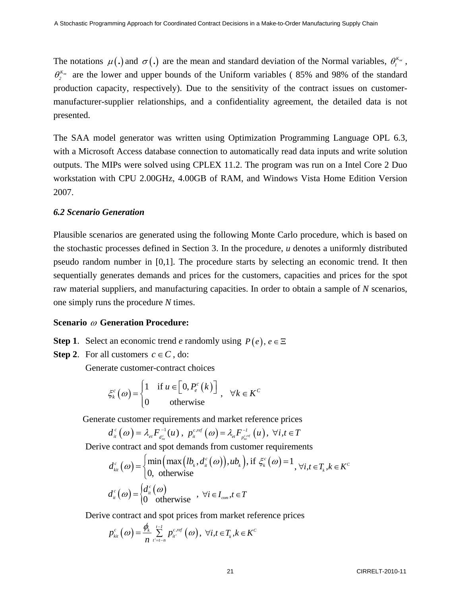The notations  $\mu(.)$  and  $\sigma(.)$  are the mean and standard deviation of the Normal variables,  $\theta_{i}^{K_{m}}$ ,  $\theta_2^{K_{mr}}$  are the lower and upper bounds of the Uniform variables (85% and 98% of the standard production capacity, respectively). Due to the sensitivity of the contract issues on customermanufacturer-supplier relationships, and a confidentiality agreement, the detailed data is not presented.

The SAA model generator was written using Optimization Programming Language OPL 6.3, with a Microsoft Access database connection to automatically read data inputs and write solution outputs. The MIPs were solved using CPLEX 11.2. The program was run on a Intel Core 2 Duo workstation with CPU 2.00GHz, 4.00GB of RAM, and Windows Vista Home Edition Version 2007.

### *6.2 Scenario Generation*

Plausible scenarios are generated using the following Monte Carlo procedure, which is based on the stochastic processes defined in Section 3. In the procedure, *u* denotes a uniformly distributed pseudo random number in [0,1]. The procedure starts by selecting an economic trend. It then sequentially generates demands and prices for the customers, capacities and prices for the spot raw material suppliers, and manufacturing capacities. In order to obtain a sample of *N* scenarios, one simply runs the procedure *N* times.

### **Scenario** ω **Generation Procedure:**

- **Step 1**. Select an economic trend *e* randomly using  $P(e)$ ,  $e \in \Xi$
- **Step 2.** For all customers  $c \in C$ , do:

Generate customer-contract choices

$$
\xi_{k}^{c}(\omega) = \begin{cases} 1 & \text{if } u \in \left[0, P_{e}^{c}(k)\right] \\ 0 & \text{otherwise} \end{cases}, \quad \forall k \in K^{c}
$$

Generate customer requirements and market reference prices

$$
d_{ii}^{c}(\omega) = \lambda_{\scriptscriptstyle{et}} F_{d_{\scriptscriptstyle{lie}}}^{-1}(u) , p_{\scriptscriptstyle{it}}^{c,\scriptscriptstyle{ref}}(\omega) = \lambda_{\scriptscriptstyle{et}} F_{p_{\scriptscriptstyle{he}}^{\scriptscriptstyle{c},\scriptscriptstyle{ref}}}(u) , \ \forall i, t \in T
$$

Derive contract and spot demands from customer requirements

$$
d_{\kappa u}^{c}(\omega) = \begin{cases} \min\left(\max\left(lb_{k}, d_{\kappa}^{c}(\omega)\right), u b_{k}\right), \text{if } \xi_{k}^{c}(\omega) = 1\\ 0, \text{ otherwise} \end{cases}, \forall i, t \in T_{k}, k \in K^{c}
$$

$$
d_{\kappa}^{c}(\omega) = \begin{cases} d_{\kappa}^{c}(\omega) \\ 0 \text{ otherwise} \end{cases}, \forall i \in I_{com}, t \in T
$$

Derive contract and spot prices from market reference prices

$$
p_{_{ki}^{c}}\left(\omega\right)=\frac{\phi_{_{k}}}{n}\sum_{_{l^{'}=l-n}^{c}}^{_{l-1}}p_{_{li^{'}}}^{^{c,ref}}\left(\omega\right),\ \forall i,t\in T_{_{k}},k\in K^{c}
$$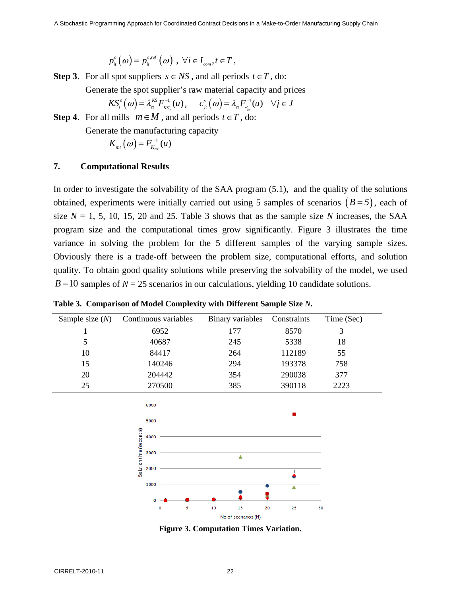$p_{ii}^c(\omega) = p_{ii}^{c,ref}(\omega)$ ,  $\forall i \in I_{com}, t \in T$ ,

**Step 3**. For all spot suppliers  $s \in NS$ , and all periods  $t \in T$ , do:

Generate the spot supplier's raw material capacity and prices

$$
KS^s_{\scriptscriptstyle \ell}(\omega) = \lambda^{\scriptscriptstyle KS}_{\scriptscriptstyle{\text{\'et}}} F^{-1}_{\scriptscriptstyle{\text{KS}^s_{\scriptscriptstyle{\text{\'et}}}}}(u)\,, \quad \ \ c^s_{\scriptscriptstyle{j}i}\left(\omega\right) = \lambda_{\scriptscriptstyle{\text{\'et}}} F^{-1}_{\scriptscriptstyle{\text{\'et}^s_{\scriptscriptstyle{\text{\'et}}}}}(u) \quad \forall j\in J
$$

**Step 4**. For all mills  $m \in M$ , and all periods  $t \in T$ , do:

Generate the manufacturing capacity

$$
K_{_{mt}}\left( \varpi\right) =F_{_{K_{_{mt}}}}^{-1}\left( u\right)
$$

### **7. Computational Results**

In order to investigate the solvability of the SAA program (5.1), and the quality of the solutions obtained, experiments were initially carried out using 5 samples of scenarios  $(B = 5)$ , each of size  $N = 1, 5, 10, 15, 20$  and 25. Table 3 shows that as the sample size *N* increases, the SAA program size and the computational times grow significantly. Figure 3 illustrates the time variance in solving the problem for the 5 different samples of the varying sample sizes. Obviously there is a trade-off between the problem size, computational efforts, and solution quality. To obtain good quality solutions while preserving the solvability of the model, we used  $B = 10$  samples of  $N = 25$  scenarios in our calculations, yielding 10 candidate solutions.

| Sample size $(N)$ | Continuous variables | Binary variables | Constraints | Time (Sec) |
|-------------------|----------------------|------------------|-------------|------------|
|                   | 6952                 | 177              | 8570        |            |
|                   | 40687                | 245              | 5338        | 18         |
| 10                | 84417                | 264              | 112189      | 55         |
| 15                | 140246               | 294              | 193378      | 758        |
| 20                | 204442               | 354              | 290038      | 377        |
| 25                | 270500               | 385              | 390118      | 2223       |

**Table 3. Comparison of Model Complexity with Different Sample Size** *N***.**



**Figure 3. Computation Times Variation.**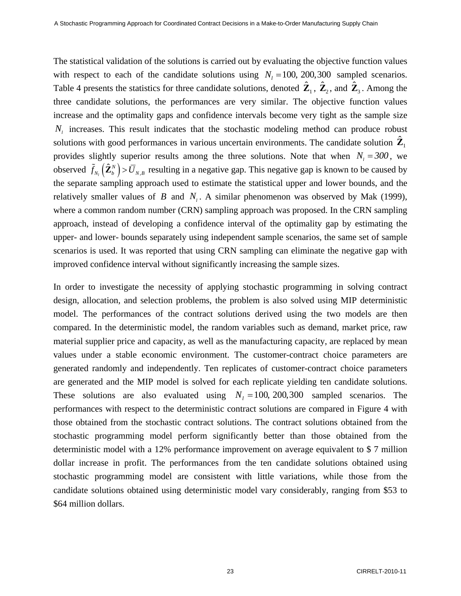The statistical validation of the solutions is carried out by evaluating the objective function values with respect to each of the candidate solutions using  $N_l = 100, 200, 300$  sampled scenarios. Table 4 presents the statistics for three candidate solutions, denoted  $\hat{\mathbf{Z}}_1$ ,  $\hat{\mathbf{Z}}_2$ , and  $\hat{\mathbf{Z}}_3$ . Among the three candidate solutions, the performances are very similar. The objective function values increase and the optimality gaps and confidence intervals become very tight as the sample size  $N<sub>l</sub>$  increases. This result indicates that the stochastic modeling method can produce robust solutions with good performances in various uncertain environments. The candidate solution  $\mathbb{Z}_1$ provides slightly superior results among the three solutions. Note that when  $N_i = 300$ , we observed  $\tilde{f}_{N_t}(\hat{\mathbf{Z}}_b^N) > \overline{U}_{N,B}$  resulting in a negative gap. This negative gap is known to be caused by the separate sampling approach used to estimate the statistical upper and lower bounds, and the relatively smaller values of *B* and  $N<sub>i</sub>$ . A similar phenomenon was observed by Mak (1999), where a common random number (CRN) sampling approach was proposed. In the CRN sampling approach, instead of developing a confidence interval of the optimality gap by estimating the upper- and lower- bounds separately using independent sample scenarios, the same set of sample scenarios is used. It was reported that using CRN sampling can eliminate the negative gap with improved confidence interval without significantly increasing the sample sizes.

In order to investigate the necessity of applying stochastic programming in solving contract design, allocation, and selection problems, the problem is also solved using MIP deterministic model. The performances of the contract solutions derived using the two models are then compared. In the deterministic model, the random variables such as demand, market price, raw material supplier price and capacity, as well as the manufacturing capacity, are replaced by mean values under a stable economic environment. The customer-contract choice parameters are generated randomly and independently. Ten replicates of customer-contract choice parameters are generated and the MIP model is solved for each replicate yielding ten candidate solutions. These solutions are also evaluated using  $N_l = 100, 200, 300$  sampled scenarios. The performances with respect to the deterministic contract solutions are compared in Figure 4 with those obtained from the stochastic contract solutions. The contract solutions obtained from the stochastic programming model perform significantly better than those obtained from the deterministic model with a 12% performance improvement on average equivalent to \$ 7 million dollar increase in profit. The performances from the ten candidate solutions obtained using stochastic programming model are consistent with little variations, while those from the candidate solutions obtained using deterministic model vary considerably, ranging from \$53 to \$64 million dollars.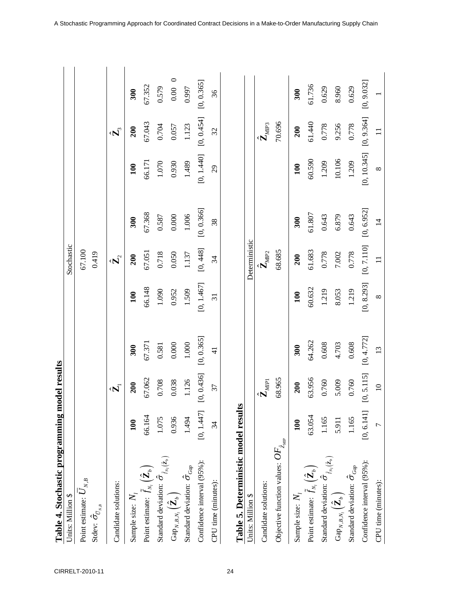| Units: Million \$                                                        |            |                           |               |                 | Stochastic                           |            |             |                                     |              |
|--------------------------------------------------------------------------|------------|---------------------------|---------------|-----------------|--------------------------------------|------------|-------------|-------------------------------------|--------------|
| Point estimate: $\boldsymbol{U}_{N,B}$                                   |            |                           |               |                 | 67.100                               |            |             |                                     |              |
| Stdev: $\hat{\sigma}_{\bar{\nu}_{_{N,B}}}$                               |            |                           |               |                 | 0.419                                |            |             |                                     |              |
| Candidate solutions:                                                     |            | $\hat{\mathbf{z}}$        |               |                 | $\hat{\mathbf{z}}_2$                 |            |             | $\hat{\mathbf{z}}_3$                |              |
| Sample size: $N_{\rm \scriptscriptstyle I}$                              | 100        | 200                       | 300           | 100             | 200                                  | 300        | 100         | 200                                 | 300          |
| Point estimate: $\tilde{f}_{N_l}\left(\hat{\mathbf{Z}}_b\right)$         | 66.164     | 67.062                    | 67.371        | 66.148          | 67.051                               | 67.368     | 66.171      | 67.043                              | 67.352       |
| Standard deviation: $\hat{\sigma}_{\tilde{f}_{N_i}(\hat{\mathbf{z}}_b)}$ | 1.075      | 0.708                     | 0.581         | 1.090           | 0.718                                | 0.587      | $1.070\,$   | 0.704                               | 0.579        |
| $\mathrm{Gap}_{N,B,N_l}\left(\hat{\mathbf{Z}}_b\right)$                  | 0.936      | 0.038                     | 0.000         | 0.952           | 0.050                                | 0.000      | 0.930       | 0.057                               | $0.00\quad0$ |
| Standard deviation: $\hat{\sigma}_{\textit{Gap}}$                        | 1.494      | 1.126                     | 1.000         | 1.509           | 1.137                                | 1.006      | 1.489       | 1.123                               | 0.997        |
| Confidence interval (95%):                                               | [0, 1.447] | [0, 0.436]                | [0, 0.365]    | [0, 1.467]      | [0, 448]                             | [0, 0.366] | [0, 1.440]  | [0, 0.454]                          | [0, 0.365]   |
| CPU time (minutes):                                                      | 34         | 37                        | $\frac{1}{4}$ | $\overline{31}$ | 34                                   | 38         | 29          | 32                                  | 36           |
| Table 5. Deterministic model results                                     |            |                           |               |                 |                                      |            |             |                                     |              |
| Units: Million \$                                                        |            |                           |               |                 | Deterministic                        |            |             |                                     |              |
| Candidate solutions:                                                     |            | $\hat{\mathbf{Z}}_{MIP1}$ |               |                 | $\tilde{\mathbf{Z}}_{M \mathrm{P2}}$ |            |             | $\hat{\mathbf{Z}}_{M \mathrm{IP3}}$ |              |
| Objective function values: $\mathit{OF}_{\hat{z}_{\mathit{MIP}}}$        |            | 68.965                    |               |                 | 68.685                               |            |             | 70.696                              |              |
| Sample size: $N_{\scriptscriptstyle I}$                                  | 100        | 200                       | 300           | 100             | 200                                  | 300        | 100         | 200                                 | 300          |
| Point estimate: $\tilde{f}_{N_i}\big(\hat{\mathbf{Z}}_b\big)$            | 63.054     | 63.956                    | 64.262        | 60.632          | 61.683                               | 61.807     | 60.590      | 61.440                              | 61.736       |
| Standard deviation: $\hat{\sigma}_{\tilde{f}_{N_l}(\mathbf{\hat{z}}_b)}$ | 1.165      | 0.760                     | 0.608         | 1.219           | 0.778                                | 0.643      | 1.209       | 0.778                               | 0.629        |
| $\mathrm{Gap}_{_{N,B,N_l}}\big(\hat{\mathbf{Z}}_b\big)$                  | 5.911      | 5.009                     | 4.703         | 8.053           | 7.002                                | 6.879      | 10.106      | 9.256                               | 8.960        |
| Standard deviation: $\hat{\sigma}_{\textit{Gap}}$                        | 1.165      | 0.760                     | 0.608         | 1.219           | 0.778                                | 0.643      | 1.209       | 0.778                               | 0.629        |
| Confidence interval (95%):                                               | [0, 6.141] | [0, 5.115]                | [0, 4.772]    | [0, 8.293]      | [0, 7.110]                           | [0, 6.952] | [0, 10.345] | [0, 9.364]                          | [0, 9.032]   |

 $13$ 

 $\overline{10}$ 

 $\overline{r}$ 

CPU time (minutes):

 $\infty$ 

 $\overline{11}$ 

 $\infty$ 

 $\overline{1}$ 

 $\Box$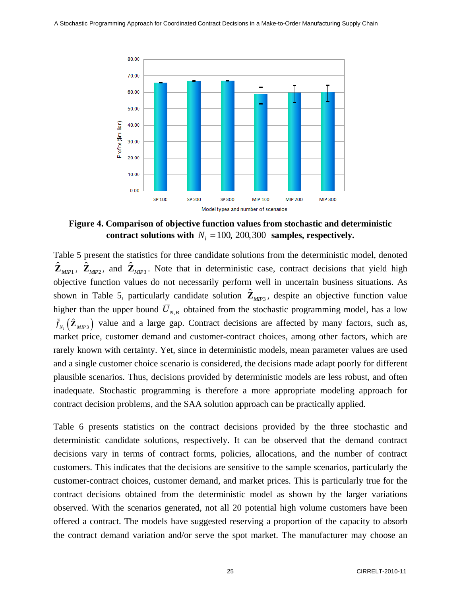

**Figure 4. Comparison of objective function values from stochastic and deterministic**  contract solutions with  $N_l = 100, 200, 300$  samples, respectively.

Table 5 present the statistics for three candidate solutions from the deterministic model, denoted  $\hat{\mathbf{Z}}_{MIP1}$ ,  $\hat{\mathbf{Z}}_{MIP2}$ , and  $\hat{\mathbf{Z}}_{MIP3}$ . Note that in deterministic case, contract decisions that yield high objective function values do not necessarily perform well in uncertain business situations. As shown in Table 5, particularly candidate solution  $\hat{\mathbf{Z}}_{MP3}$ , despite an objective function value higher than the upper bound  $\bar{U}_{N,B}$  obtained from the stochastic programming model, has a low  $\tilde{f}_{N_t}(\hat{\mathbf{Z}}_{MIP3})$  value and a large gap. Contract decisions are affected by many factors, such as, market price, customer demand and customer-contract choices, among other factors, which are rarely known with certainty. Yet, since in deterministic models, mean parameter values are used and a single customer choice scenario is considered, the decisions made adapt poorly for different plausible scenarios. Thus, decisions provided by deterministic models are less robust, and often inadequate. Stochastic programming is therefore a more appropriate modeling approach for contract decision problems, and the SAA solution approach can be practically applied.

Table 6 presents statistics on the contract decisions provided by the three stochastic and deterministic candidate solutions, respectively. It can be observed that the demand contract decisions vary in terms of contract forms, policies, allocations, and the number of contract customers. This indicates that the decisions are sensitive to the sample scenarios, particularly the customer-contract choices, customer demand, and market prices. This is particularly true for the contract decisions obtained from the deterministic model as shown by the larger variations observed. With the scenarios generated, not all 20 potential high volume customers have been offered a contract. The models have suggested reserving a proportion of the capacity to absorb the contract demand variation and/or serve the spot market. The manufacturer may choose an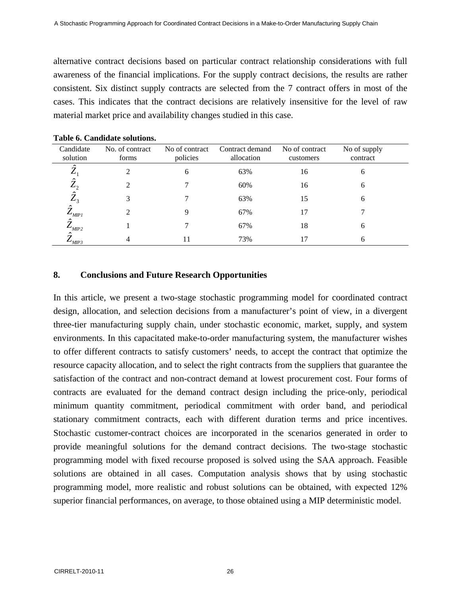alternative contract decisions based on particular contract relationship considerations with full awareness of the financial implications. For the supply contract decisions, the results are rather consistent. Six distinct supply contracts are selected from the 7 contract offers in most of the cases. This indicates that the contract decisions are relatively insensitive for the level of raw material market price and availability changes studied in this case.

| Candidate<br>solution  | No. of contract<br>forms | No of contract<br>policies | Contract demand<br>allocation | No of contract<br>customers | No of supply<br>contract |
|------------------------|--------------------------|----------------------------|-------------------------------|-----------------------------|--------------------------|
| $\hat{\mathbf{z}}$     |                          | 6                          | 63%                           | 16                          |                          |
| Ŷ<br>$\mathcal{L}_{1}$ |                          |                            | 60%                           | 16                          |                          |
| $\hat{Z}_3$            |                          |                            | 63%                           | 15                          |                          |
| 7<br>$L_{MIPI}$        |                          | Q                          | 67%                           | 17                          |                          |
| Ĥ<br>$L_{MIP2}$        |                          |                            | 67%                           | 18                          |                          |
| ۵<br>$L_{MIP3}$        |                          | 11                         | 73%                           | 17                          |                          |

**Table 6. Candidate solutions.** 

### **8. Conclusions and Future Research Opportunities**

In this article, we present a two-stage stochastic programming model for coordinated contract design, allocation, and selection decisions from a manufacturer's point of view, in a divergent three-tier manufacturing supply chain, under stochastic economic, market, supply, and system environments. In this capacitated make-to-order manufacturing system, the manufacturer wishes to offer different contracts to satisfy customers' needs, to accept the contract that optimize the resource capacity allocation, and to select the right contracts from the suppliers that guarantee the satisfaction of the contract and non-contract demand at lowest procurement cost. Four forms of contracts are evaluated for the demand contract design including the price-only, periodical minimum quantity commitment, periodical commitment with order band, and periodical stationary commitment contracts, each with different duration terms and price incentives. Stochastic customer-contract choices are incorporated in the scenarios generated in order to provide meaningful solutions for the demand contract decisions. The two-stage stochastic programming model with fixed recourse proposed is solved using the SAA approach. Feasible solutions are obtained in all cases. Computation analysis shows that by using stochastic programming model, more realistic and robust solutions can be obtained, with expected 12% superior financial performances, on average, to those obtained using a MIP deterministic model.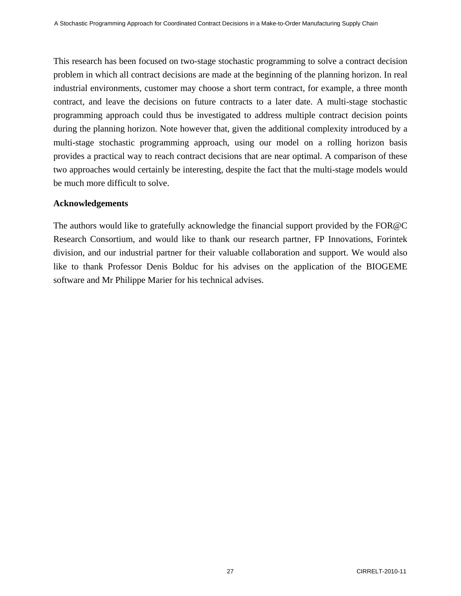This research has been focused on two-stage stochastic programming to solve a contract decision problem in which all contract decisions are made at the beginning of the planning horizon. In real industrial environments, customer may choose a short term contract, for example, a three month contract, and leave the decisions on future contracts to a later date. A multi-stage stochastic programming approach could thus be investigated to address multiple contract decision points during the planning horizon. Note however that, given the additional complexity introduced by a multi-stage stochastic programming approach, using our model on a rolling horizon basis provides a practical way to reach contract decisions that are near optimal. A comparison of these two approaches would certainly be interesting, despite the fact that the multi-stage models would be much more difficult to solve.

### **Acknowledgements**

The authors would like to gratefully acknowledge the financial support provided by the FOR@C Research Consortium, and would like to thank our research partner, FP Innovations, Forintek division, and our industrial partner for their valuable collaboration and support. We would also like to thank Professor Denis Bolduc for his advises on the application of the BIOGEME software and Mr Philippe Marier for his technical advises.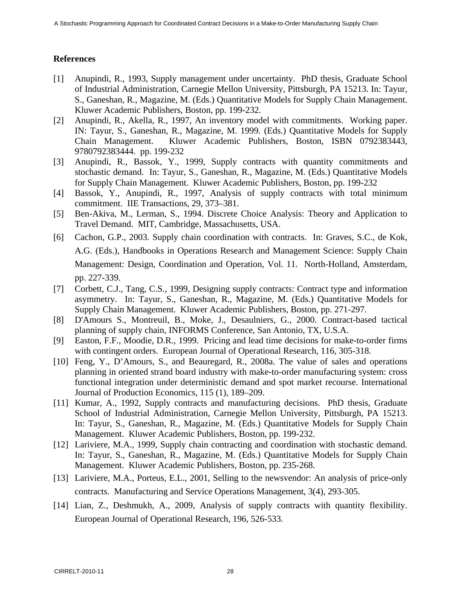# **References**

- [1] Anupindi, R., 1993, Supply management under uncertainty. PhD thesis, Graduate School of Industrial Administration, Carnegie Mellon University, Pittsburgh, PA 15213. In: Tayur, S., Ganeshan, R., Magazine, M. (Eds.) Quantitative Models for Supply Chain Management. Kluwer Academic Publishers, Boston, pp. 199-232.
- [2] Anupindi, R., Akella, R., 1997, An inventory model with commitments. Working paper. IN: Tayur, S., Ganeshan, R., Magazine, M. 1999. (Eds.) Quantitative Models for Supply Chain Management. Kluwer Academic Publishers, Boston, ISBN 0792383443, 9780792383444. pp. 199-232
- [3] Anupindi, R., Bassok, Y., 1999, Supply contracts with quantity commitments and stochastic demand. In: Tayur, S., Ganeshan, R., Magazine, M. (Eds.) Quantitative Models for Supply Chain Management. Kluwer Academic Publishers, Boston, pp. 199-232
- [4] Bassok, Y., Anupindi, R., 1997, Analysis of supply contracts with total minimum commitment. IIE Transactions, 29, 373–381.
- [5] Ben-Akiva, M., Lerman, S., 1994. Discrete Choice Analysis: Theory and Application to Travel Demand. MIT, Cambridge, Massachusetts, USA.
- [6] Cachon, G.P., 2003. Supply chain coordination with contracts. In: Graves, S.C., de Kok, A.G. (Eds.), Handbooks in Operations Research and Management Science: Supply Chain Management: Design, Coordination and Operation, Vol. 11. North-Holland, Amsterdam, pp. 227-339.
- [7] Corbett, C.J., Tang, C.S., 1999, Designing supply contracts: Contract type and information asymmetry. In: Tayur, S., Ganeshan, R., Magazine, M. (Eds.) Quantitative Models for Supply Chain Management. Kluwer Academic Publishers, Boston, pp. 271-297.
- [8] D'Amours S., Montreuil, B., Moke, J., Desaulniers, G., 2000. Contract-based tactical planning of supply chain, INFORMS Conference, San Antonio, TX, U.S.A.
- [9] Easton, F.F., Moodie, D.R., 1999. Pricing and lead time decisions for make-to-order firms with contingent orders. European Journal of Operational Research, 116, 305-318.
- [10] Feng, Y., D'Amours, S., and Beauregard, R., 2008a. The value of sales and operations planning in oriented strand board industry with make-to-order manufacturing system: cross functional integration under deterministic demand and spot market recourse. International Journal of Production Economics, 115 (1), 189–209.
- [11] Kumar, A., 1992, Supply contracts and manufacturing decisions. PhD thesis, Graduate School of Industrial Administration, Carnegie Mellon University, Pittsburgh, PA 15213. In: Tayur, S., Ganeshan, R., Magazine, M. (Eds.) Quantitative Models for Supply Chain Management. Kluwer Academic Publishers, Boston, pp. 199-232.
- [12] Lariviere, M.A., 1999, Supply chain contracting and coordination with stochastic demand. In: Tayur, S., Ganeshan, R., Magazine, M. (Eds.) Quantitative Models for Supply Chain Management. Kluwer Academic Publishers, Boston, pp. 235-268.
- [13] Lariviere, M.A., Porteus, E.L., 2001, Selling to the newsvendor: An analysis of price-only contracts. Manufacturing and Service Operations Management, 3(4), 293-305.
- [14] Lian, Z., Deshmukh, A., 2009, Analysis of supply contracts with quantity flexibility. European Journal of Operational Research, 196, 526-533.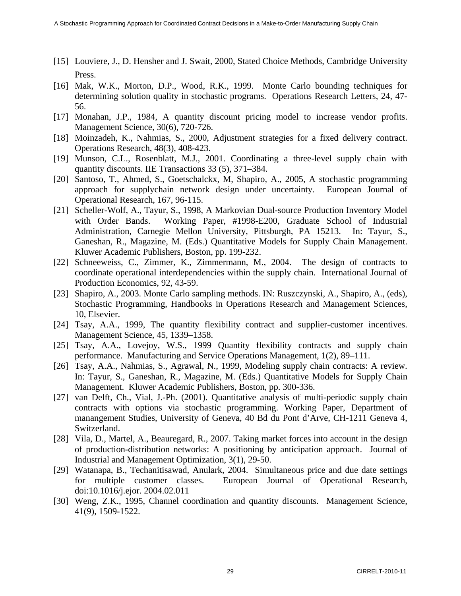- [15] Louviere, J., D. Hensher and J. Swait, 2000, Stated Choice Methods, Cambridge University Press.
- [16] Mak, W.K., Morton, D.P., Wood, R.K., 1999. Monte Carlo bounding techniques for determining solution quality in stochastic programs. Operations Research Letters, 24, 47- 56.
- [17] Monahan, J.P., 1984, A quantity discount pricing model to increase vendor profits. Management Science, 30(6), 720-726.
- [18] Moinzadeh, K., Nahmias, S., 2000, Adjustment strategies for a fixed delivery contract. Operations Research, 48(3), 408-423.
- [19] Munson, C.L., Rosenblatt, M.J., 2001. Coordinating a three-level supply chain with quantity discounts. IIE Transactions 33 (5), 371–384.
- [20] Santoso, T., Ahmed, S., Goetschalckx, M, Shapiro, A., 2005, A stochastic programming approach for supplychain network design under uncertainty. European Journal of Operational Research, 167, 96-115.
- [21] Scheller-Wolf, A., Tayur, S., 1998, A Markovian Dual-source Production Inventory Model with Order Bands. Working Paper, #1998-E200, Graduate School of Industrial Administration, Carnegie Mellon University, Pittsburgh, PA 15213. In: Tayur, S., Ganeshan, R., Magazine, M. (Eds.) Quantitative Models for Supply Chain Management. Kluwer Academic Publishers, Boston, pp. 199-232.
- [22] Schneeweiss, C., Zimmer, K., Zimmermann, M., 2004. The design of contracts to coordinate operational interdependencies within the supply chain. International Journal of Production Economics, 92, 43-59.
- [23] Shapiro, A., 2003. Monte Carlo sampling methods. IN: Ruszczynski, A., Shapiro, A., (eds), Stochastic Programming, Handbooks in Operations Research and Management Sciences, 10, Elsevier.
- [24] Tsay, A.A., 1999, The quantity flexibility contract and supplier-customer incentives. Management Science, 45, 1339–1358.
- [25] Tsay, A.A., Lovejoy, W.S., 1999 Quantity flexibility contracts and supply chain performance. Manufacturing and Service Operations Management, 1(2), 89–111.
- [26] Tsay, A.A., Nahmias, S., Agrawal, N., 1999, Modeling supply chain contracts: A review. In: Tayur, S., Ganeshan, R., Magazine, M. (Eds.) Quantitative Models for Supply Chain Management. Kluwer Academic Publishers, Boston, pp. 300-336.
- [27] van Delft, Ch., Vial, J.-Ph. (2001). Quantitative analysis of multi-periodic supply chain contracts with options via stochastic programming. Working Paper, Department of manangement Studies, University of Geneva, 40 Bd du Pont d'Arve, CH-1211 Geneva 4, Switzerland.
- [28] Vila, D., Martel, A., Beauregard, R., 2007. Taking market forces into account in the design of production-distribution networks: A positioning by anticipation approach. Journal of Industrial and Management Optimization, 3(1), 29-50.
- [29] Watanapa, B., Techanitisawad, Anulark, 2004. Simultaneous price and due date settings for multiple customer classes. European Journal of Operational Research, doi:10.1016/j.ejor. 2004.02.011
- [30] Weng, Z.K., 1995, Channel coordination and quantity discounts. Management Science, 41(9), 1509-1522.